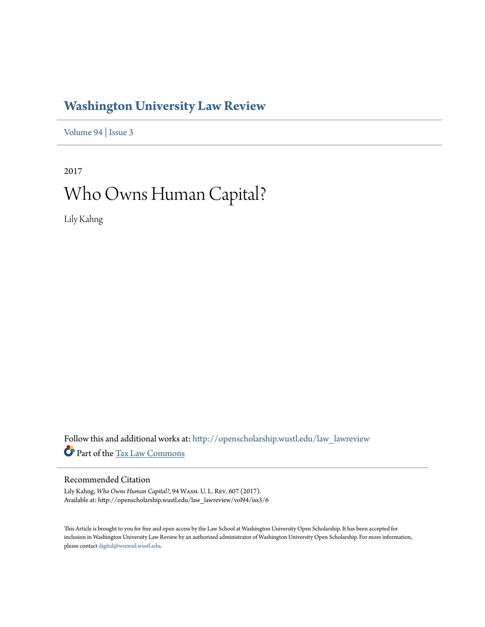# **[Washington University Law Review](http://openscholarship.wustl.edu/law_lawreview?utm_source=openscholarship.wustl.edu%2Flaw_lawreview%2Fvol94%2Fiss3%2F6&utm_medium=PDF&utm_campaign=PDFCoverPages)**

[Volume 94](http://openscholarship.wustl.edu/law_lawreview/vol94?utm_source=openscholarship.wustl.edu%2Flaw_lawreview%2Fvol94%2Fiss3%2F6&utm_medium=PDF&utm_campaign=PDFCoverPages) | [Issue 3](http://openscholarship.wustl.edu/law_lawreview/vol94/iss3?utm_source=openscholarship.wustl.edu%2Flaw_lawreview%2Fvol94%2Fiss3%2F6&utm_medium=PDF&utm_campaign=PDFCoverPages)

2017 Who Owns Human Capital?

Lily Kahng

Follow this and additional works at: [http://openscholarship.wustl.edu/law\\_lawreview](http://openscholarship.wustl.edu/law_lawreview?utm_source=openscholarship.wustl.edu%2Flaw_lawreview%2Fvol94%2Fiss3%2F6&utm_medium=PDF&utm_campaign=PDFCoverPages) Part of the [Tax Law Commons](http://network.bepress.com/hgg/discipline/898?utm_source=openscholarship.wustl.edu%2Flaw_lawreview%2Fvol94%2Fiss3%2F6&utm_medium=PDF&utm_campaign=PDFCoverPages)

# Recommended Citation

Lily Kahng, *Who Owns Human Capital?*, 94 Wash. U. L. Rev. 607 (2017). Available at: http://openscholarship.wustl.edu/law\_lawreview/vol94/iss3/6

This Article is brought to you for free and open access by the Law School at Washington University Open Scholarship. It has been accepted for inclusion in Washington University Law Review by an authorized administrator of Washington University Open Scholarship. For more information, please contact [digital@wumail.wustl.edu.](mailto:digital@wumail.wustl.edu)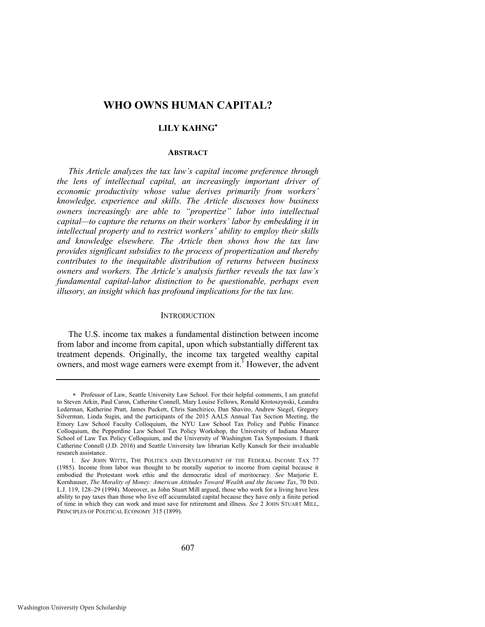# **WHO OWNS HUMAN CAPITAL?**

# **LILY KAHNG**

# **ABSTRACT**

*This Article analyzes the tax law's capital income preference through the lens of intellectual capital, an increasingly important driver of economic productivity whose value derives primarily from workers' knowledge, experience and skills. The Article discusses how business owners increasingly are able to "propertize" labor into intellectual capital—to capture the returns on their workers' labor by embedding it in intellectual property and to restrict workers' ability to employ their skills and knowledge elsewhere. The Article then shows how the tax law provides significant subsidies to the process of propertization and thereby contributes to the inequitable distribution of returns between business owners and workers. The Article's analysis further reveals the tax law's fundamental capital-labor distinction to be questionable, perhaps even illusory, an insight which has profound implications for the tax law.* 

#### **INTRODUCTION**

The U.S. income tax makes a fundamental distinction between income from labor and income from capital, upon which substantially different tax treatment depends. Originally, the income tax targeted wealthy capital owners, and most wage earners were exempt from  $it<sup>1</sup>$  However, the advent

Professor of Law, Seattle University Law School. For their helpful comments, I am grateful to Steven Arkin, Paul Caron, Catherine Connell, Mary Louise Fellows, Ronald Krotoszynski, Leandra Lederman, Katherine Pratt, James Puckett, Chris Sanchirico, Dan Shaviro, Andrew Siegel, Gregory Silverman, Linda Sugin, and the participants of the 2015 AALS Annual Tax Section Meeting, the Emory Law School Faculty Colloquium, the NYU Law School Tax Policy and Public Finance Colloquium, the Pepperdine Law School Tax Policy Workshop, the University of Indiana Maurer School of Law Tax Policy Colloquium, and the University of Washington Tax Symposium. I thank Catherine Connell (J.D. 2016) and Seattle University law librarian Kelly Kunsch for their invaluable research assistance.

<sup>1.</sup> *See* JOHN WITTE, THE POLITICS AND DEVELOPMENT OF THE FEDERAL INCOME TAX 77 (1985). Income from labor was thought to be morally superior to income from capital because it embodied the Protestant work ethic and the democratic ideal of meritocracy. *See* Marjorie E. Kornhauser, *The Morality of Money: American Attitudes Toward Wealth and the Income Tax*, 70 IND. L.J. 119, 128–29 (1994). Moreover, as John Stuart Mill argued, those who work for a living have less ability to pay taxes than those who live off accumulated capital because they have only a finite period of time in which they can work and must save for retirement and illness. *See* 2 JOHN STUART MILL, PRINCIPLES OF POLITICAL ECONOMY 315 (1899).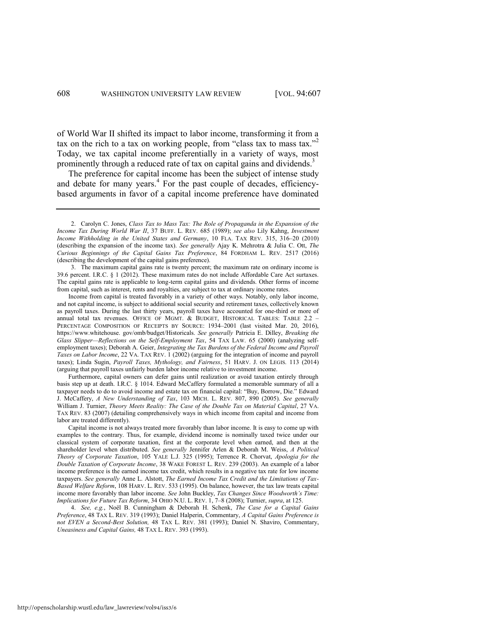of World War II shifted its impact to labor income, transforming it from a tax on the rich to a tax on working people, from "class tax to mass tax."<sup>2</sup> Today, we tax capital income preferentially in a variety of ways, most prominently through a reduced rate of tax on capital gains and dividends.<sup>3</sup>

The preference for capital income has been the subject of intense study and debate for many years.<sup>4</sup> For the past couple of decades, efficiencybased arguments in favor of a capital income preference have dominated

2. Carolyn C. Jones, *Class Tax to Mass Tax: The Role of Propaganda in the Expansion of the Income Tax During World War II*, 37 BUFF. L. REV. 685 (1989); *see also* Lily Kahng, *Investment Income Withholding in the United States and Germany*, 10 FLA. TAX REV. 315, 316–20 (2010) (describing the expansion of the income tax). *See generally* Ajay K. Mehrotra & Julia C. Ott, *The Curious Beginnings of the Capital Gains Tax Preference*, 84 FORDHAM L. REV. 2517 (2016) (describing the development of the capital gains preference).

3. The maximum capital gains rate is twenty percent; the maximum rate on ordinary income is 39.6 percent. I.R.C. § 1 (2012). These maximum rates do not include Affordable Care Act surtaxes. The capital gains rate is applicable to long-term capital gains and dividends. Other forms of income from capital, such as interest, rents and royalties, are subject to tax at ordinary income rates.

 Income from capital is treated favorably in a variety of other ways. Notably, only labor income, and not capital income, is subject to additional social security and retirement taxes, collectively known as payroll taxes. During the last thirty years, payroll taxes have accounted for one-third or more of annual total tax revenues. OFFICE OF MGMT. & BUDGET, HISTORICAL TABLES: TABLE 2.2 – PERCENTAGE COMPOSITION OF RECEIPTS BY SOURCE: 1934–2001 (last visited Mar. 20, 2016), https://www.whitehouse. gov/omb/budget/Historicals. *See generally* Patricia E. Dilley, *Breaking the Glass Slipper—Reflections on the Self-Employment Tax*, 54 TAX LAW. 65 (2000) (analyzing selfemployment taxes); Deborah A. Geier, *Integrating the Tax Burdens of the Federal Income and Payroll Taxes on Labor Income*, 22 VA. TAX REV. 1 (2002) (arguing for the integration of income and payroll taxes); Linda Sugin, *Payroll Taxes, Mythology, and Fairness*, 51 HARV. J. ON LEGIS. 113 (2014) (arguing that payroll taxes unfairly burden labor income relative to investment income.

 Furthermore, capital owners can defer gains until realization or avoid taxation entirely through basis step up at death. I.R.C. § 1014. Edward McCaffery formulated a memorable summary of all a taxpayer needs to do to avoid income and estate tax on financial capital: "Buy, Borrow, Die." Edward J. McCaffery, *A New Understanding of Tax*, 103 MICH. L. REV. 807, 890 (2005). *See generally* William J. Turnier, *Theory Meets Reality: The Case of the Double Tax on Material Capital*, 27 VA. TAX REV. 83 (2007) (detailing comprehensively ways in which income from capital and income from labor are treated differently).

 Capital income is not always treated more favorably than labor income. It is easy to come up with examples to the contrary. Thus, for example, dividend income is nominally taxed twice under our classical system of corporate taxation, first at the corporate level when earned, and then at the shareholder level when distributed. *See generally* Jennifer Arlen & Deborah M. Weiss, *A Political Theory of Corporate Taxation*, 105 YALE L.J. 325 (1995); Terrence R. Chorvat, *Apologia for the Double Taxation of Corporate Income*, 38 WAKE FOREST L. REV. 239 (2003). An example of a labor income preference is the earned income tax credit, which results in a negative tax rate for low income taxpayers. *See generally* Anne L. Alstott, *The Earned Income Tax Credit and the Limitations of Tax-Based Welfare Reform*, 108 HARV. L. REV. 533 (1995). On balance, however, the tax law treats capital income more favorably than labor income. *See* John Buckley, *Tax Changes Since Woodworth's Time: Implications for Future Tax Reform*, 34 OHIO N.U. L. REV. 1, 7–8 (2008); Turnier, *supra*, at 125.

4. *See, e.g.*, Noël B. Cunningham & Deborah H. Schenk, *The Case for a Capital Gains Preference*, 48 TAX L. REV. 319 (1993); Daniel Halperin, Commentary, *A Capital Gains Preference is not EVEN a Second-Best Solution,* 48 TAX L. REV. 381 (1993); Daniel N. Shaviro, Commentary, *Uneasiness and Capital Gains,* 48 TAX L. REV. 393 (1993).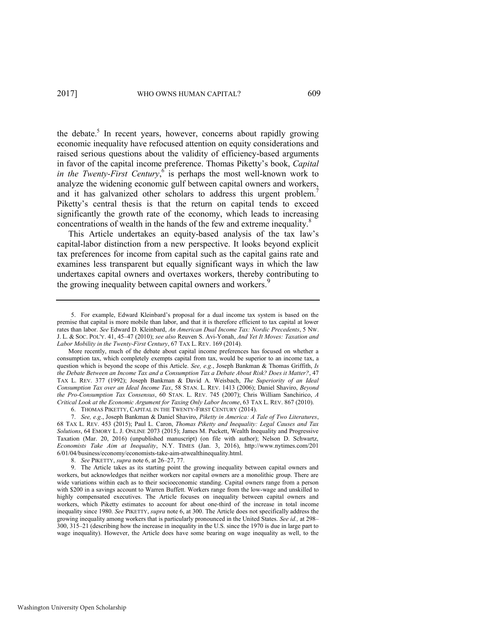<span id="page-3-2"></span><span id="page-3-0"></span>the debate.<sup>5</sup> In recent years, however, concerns about rapidly growing economic inequality have refocused attention on equity considerations and raised serious questions about the validity of efficiency-based arguments in favor of the capital income preference. Thomas Piketty's book, *Capital in the Twenty-First Century*, is perhaps the most well-known work to analyze the widening economic gulf between capital owners and workers, and it has galvanized other scholars to address this urgent problem.<sup>7</sup> Piketty's central thesis is that the return on capital tends to exceed significantly the growth rate of the economy, which leads to increasing concentrations of wealth in the hands of the few and extreme inequality.<sup>8</sup>

<span id="page-3-1"></span>This Article undertakes an equity-based analysis of the tax law's capital-labor distinction from a new perspective. It looks beyond explicit tax preferences for income from capital such as the capital gains rate and examines less transparent but equally significant ways in which the law undertaxes capital owners and overtaxes workers, thereby contributing to the growing inequality between capital owners and workers.<sup>9</sup>

<sup>5.</sup> For example, Edward Kleinbard's proposal for a dual income tax system is based on the premise that capital is more mobile than labor, and that it is therefore efficient to tax capital at lower rates than labor. *See* Edward D. Kleinbard, *An American Dual Income Tax: Nordic Precedents*, 5 NW. J. L. & SOC. POL'Y. 41, 45–47 (2010); *see also* Reuven S. Avi-Yonah, *And Yet It Moves: Taxation and Labor Mobility in the Twenty-First Century*, 67 TAX L. REV. 169 (2014).

More recently, much of the debate about capital income preferences has focused on whether a consumption tax, which completely exempts capital from tax, would be superior to an income tax, a question which is beyond the scope of this Article. *See, e.g.*, Joseph Bankman & Thomas Griffith, *Is the Debate Between an Income Tax and a Consumption Tax a Debate About Risk? Does it Matter?*, 47 TAX L. REV. 377 (1992); Joseph Bankman & David A. Weisbach, *The Superiority of an Ideal Consumption Tax over an Ideal Income Tax*, 58 STAN. L. REV. 1413 (2006); Daniel Shaviro, *Beyond the Pro-Consumption Tax Consensus*, 60 STAN. L. REV. 745 (2007); Chris William Sanchirico, *A Critical Look at the Economic Argument for Taxing Only Labor Income*, 63 TAX L. REV. 867 (2010).

<sup>6.</sup> THOMAS PIKETTY, CAPITAL IN THE TWENTY-FIRST CENTURY (2014).

<sup>7.</sup> *See, e.g*., Joseph Bankman & Daniel Shaviro, *Piketty in America: A Tale of Two Literatures*, 68 TAX L. REV. 453 (2015); Paul L. Caron, *Thomas Piketty and Inequality: Legal Causes and Tax Solutions*, 64 EMORY L. J. ONLINE 2073 (2015); James M. Puckett, Wealth Inequality and Progressive Taxation (Mar. 20, 2016) (unpublished manuscript) (on file with author); Nelson D. Schwartz, *Economists Take Aim at Inequality*, N.Y. TIMES (Jan. 3, 2016), [http://www.nytimes.com/201](http://www.nytimes.com/201%206/01/04/business/economy/economists-take-aim-atwealth)  [6/01/04/business/economy/economists-take-aim-atwealthi](http://www.nytimes.com/201%206/01/04/business/economy/economists-take-aim-atwealth)nequality.html.

<sup>8.</sup> *See* PIKETTY, *supra* not[e 6,](#page-3-0) at 26–27, 77.

<sup>9.</sup> The Article takes as its starting point the growing inequality between capital owners and workers, but acknowledges that neither workers nor capital owners are a monolithic group. There are wide variations within each as to their socioeconomic standing. Capital owners range from a person with \$200 in a savings account to Warren Buffett. Workers range from the low-wage and unskilled to highly compensated executives. The Article focuses on inequality between capital owners and workers, which Piketty estimates to account for about one-third of the increase in total income inequality since 1980. *See* PIKETTY, *supra* note [6,](#page-3-0) at 300. The Article does not specifically address the growing inequality among workers that is particularly pronounced in the United States. *See id.,* at 298– 300, 315–21 (describing how the increase in inequality in the U.S. since the 1970 is due in large part to wage inequality). However, the Article does have some bearing on wage inequality as well, to the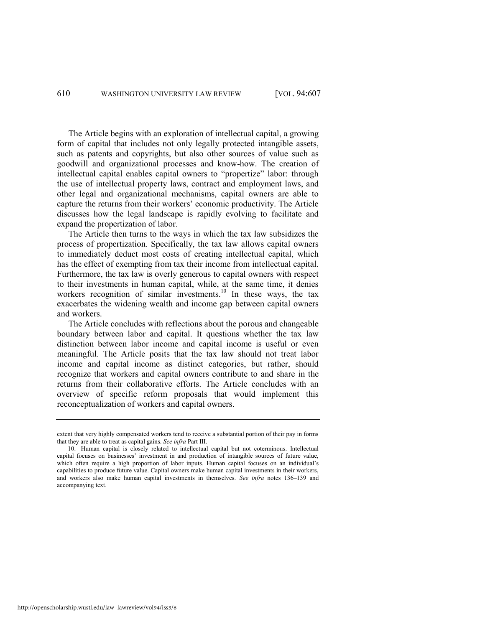The Article begins with an exploration of intellectual capital, a growing form of capital that includes not only legally protected intangible assets, such as patents and copyrights, but also other sources of value such as goodwill and organizational processes and know-how. The creation of intellectual capital enables capital owners to "propertize" labor: through the use of intellectual property laws, contract and employment laws, and other legal and organizational mechanisms, capital owners are able to capture the returns from their workers' economic productivity. The Article discusses how the legal landscape is rapidly evolving to facilitate and expand the propertization of labor.

The Article then turns to the ways in which the tax law subsidizes the process of propertization. Specifically, the tax law allows capital owners to immediately deduct most costs of creating intellectual capital, which has the effect of exempting from tax their income from intellectual capital. Furthermore, the tax law is overly generous to capital owners with respect to their investments in human capital, while, at the same time, it denies workers recognition of similar investments.<sup>10</sup> In these ways, the tax exacerbates the widening wealth and income gap between capital owners and workers.

The Article concludes with reflections about the porous and changeable boundary between labor and capital. It questions whether the tax law distinction between labor income and capital income is useful or even meaningful. The Article posits that the tax law should not treat labor income and capital income as distinct categories, but rather, should recognize that workers and capital owners contribute to and share in the returns from their collaborative efforts. The Article concludes with an overview of specific reform proposals that would implement this reconceptualization of workers and capital owners.

http://openscholarship.wustl.edu/law\_lawreview/vol94/iss3/6

extent that very highly compensated workers tend to receive a substantial portion of their pay in forms that they are able to treat as capital gains. *See infra* Part III.

<sup>10.</sup> Human capital is closely related to intellectual capital but not coterminous. Intellectual capital focuses on businesses' investment in and production of intangible sources of future value, which often require a high proportion of labor inputs. Human capital focuses on an individual's capabilities to produce future value. Capital owners make human capital investments in their workers, and workers also make human capital investments in themselves. *See infra* notes [136](#page-27-0)–[139](#page-28-0) and accompanying text.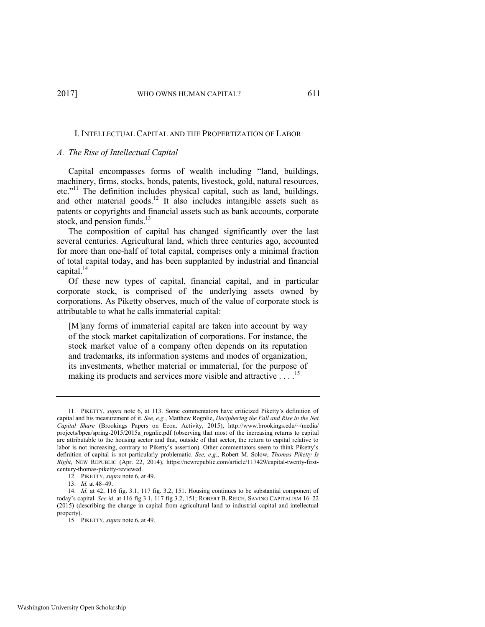#### I. INTELLECTUAL CAPITAL AND THE PROPERTIZATION OF LABOR

### *A. The Rise of Intellectual Capital*

<span id="page-5-0"></span>Capital encompasses forms of wealth including "land, buildings, machinery, firms, stocks, bonds, patents, livestock, gold, natural resources, etc."<sup>11</sup> The definition includes physical capital, such as land, buildings, and other material goods.<sup>12</sup> It also includes intangible assets such as patents or copyrights and financial assets such as bank accounts, corporate stock, and pension funds. $^{13}$ 

The composition of capital has changed significantly over the last several centuries. Agricultural land, which three centuries ago, accounted for more than one-half of total capital, comprises only a minimal fraction of total capital today, and has been supplanted by industrial and financial capital.<sup>14</sup>

Of these new types of capital, financial capital, and in particular corporate stock, is comprised of the underlying assets owned by corporations. As Piketty observes, much of the value of corporate stock is attributable to what he calls immaterial capital:

[M]any forms of immaterial capital are taken into account by way of the stock market capitalization of corporations. For instance, the stock market value of a company often depends on its reputation and trademarks, its information systems and modes of organization, its investments, whether material or immaterial, for the purpose of making its products and services more visible and attractive ... .<sup>15</sup>

<sup>11.</sup> PIKETTY, *supra* note [6](#page-3-0), at 113. Some commentators have criticized Piketty's definition of capital and his measurement of it. *See, e.g.*, Matthew Rognlie, *Deciphering the Fall and Rise in the Net Capital Share* (Brookings Papers on Econ. Activity, 2015), [http://www.brookings.edu/~/m](http://www.brookings.edu/~/)edia/ projects/bpea/spring-2015/2015a\_rognlie.pdf (observing that most of the increasing returns to capital are attributable to the housing sector and that, outside of that sector, the return to capital relative to labor is not increasing, contrary to Piketty's assertion). Other commentators seem to think Piketty's definition of capital is not particularly problematic. *See, e.g.*, Robert M. Solow, *Thomas Piketty Is Right*, NEW REPUBLIC (Apr. 22, 2014), https://newrepublic.com/article/117429/capital-twenty-firstcentury-thomas-piketty-reviewed.

<sup>12.</sup> PIKETTY, *supra* not[e 6,](#page-3-0) at 49.

<sup>13.</sup> *Id.* at 48–49.

<sup>14.</sup> *Id.* at 42, 116 fig. 3.1, 117 fig. 3.2, 151. Housing continues to be substantial component of today's capital. *See id.* at 116 fig 3.1, 117 fig 3.2, 151; ROBERT B. REICH, SAVING CAPITALISM 16–22 (2015) (describing the change in capital from agricultural land to industrial capital and intellectual property).

<sup>15.</sup> PIKETTY, *supra* not[e 6,](#page-3-0) at 49.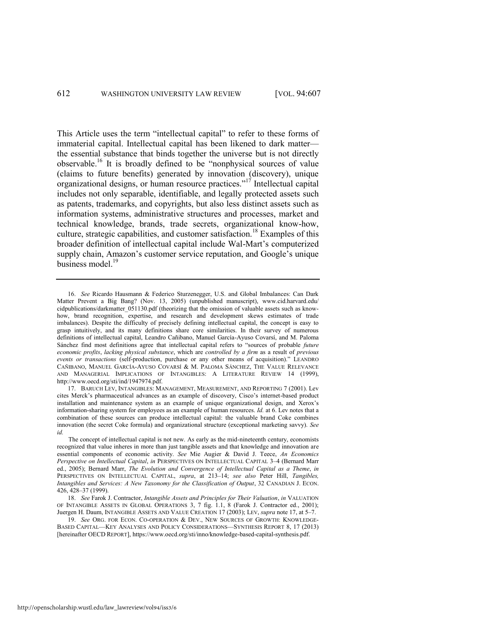<span id="page-6-0"></span>This Article uses the term "intellectual capital" to refer to these forms of immaterial capital. Intellectual capital has been likened to dark matter the essential substance that binds together the universe but is not directly observable.<sup>16</sup> It is broadly defined to be "nonphysical sources of value (claims to future benefits) generated by innovation (discovery), unique organizational designs, or human resource practices."<sup>17</sup> Intellectual capital includes not only separable, identifiable, and legally protected assets such as patents, trademarks, and copyrights, but also less distinct assets such as information systems, administrative structures and processes, market and technical knowledge, brands, trade secrets, organizational know-how, culture, strategic capabilities, and customer satisfaction.<sup>18</sup> Examples of this broader definition of intellectual capital include Wal-Mart's computerized supply chain, Amazon's customer service reputation, and Google's unique business model.<sup>19</sup>

17. BARUCH LEV, INTANGIBLES: MANAGEMENT, MEASUREMENT, AND REPORTING 7 (2001). Lev cites Merck's pharmaceutical advances as an example of discovery, Cisco's internet-based product installation and maintenance system as an example of unique organizational design, and Xerox's information-sharing system for employees as an example of human resources. *Id.* at 6. Lev notes that a combination of these sources can produce intellectual capital: the valuable brand Coke combines innovation (the secret Coke formula) and organizational structure (exceptional marketing savvy). *See id.* 

<span id="page-6-1"></span><sup>16.</sup> *See* Ricardo Hausmann & Federico Sturzenegger, U.S. and Global Imbalances: Can Dark Matter Prevent a Big Bang? (Nov. 13, 2005) (unpublished manuscript), [www.cid.harvard.edu/](http://www.cid.harvard.edu/) cidpublications/darkmatter\_051130.pdf (theorizing that the omission of valuable assets such as knowhow, brand recognition, expertise, and research and development skews estimates of trade imbalances). Despite the difficulty of precisely defining intellectual capital, the concept is easy to grasp intuitively, and its many definitions share core similarities. In their survey of numerous definitions of intellectual capital, Leandro Cañibano, Manuel García-Ayuso Covarsí, and M. Paloma Sánchez find most definitions agree that intellectual capital refers to "sources of probable *future economic profits*, *lacking physical substance*, which are *controlled by a firm* as a result of *previous events or transactions* (self-production, purchase or any other means of acquisition)." LEANDRO CAÑIBANO, MANUEL GARCÍA-AYUSO COVARSÍ & M. PALOMA SÁNCHEZ, THE VALUE RELEVANCE AND MANAGERIAL IMPLICATIONS OF INTANGIBLES: A LITERATURE REVIEW 14 (1999), [http://www.oecd.org/s](http://www.oecd.org/)ti/ind/1947974.pdf.

The concept of intellectual capital is not new. As early as the mid-nineteenth century, economists recognized that value inheres in more than just tangible assets and that knowledge and innovation are essential components of economic activity. *See* Mie Augier & David J. Teece, *An Economics Perspective on Intellectual Capital*, *in* PERSPECTIVES ON INTELLECTUAL CAPITAL 3–4 (Bernard Marr ed., 2005); Bernard Marr, *The Evolution and Convergence of Intellectual Capital as a Theme*, *in*  PERSPECTIVES ON INTELLECTUAL CAPITAL, *supra*, at 213–14; *see also* Peter Hill, *Tangibles, Intangibles and Services: A New Taxonomy for the Classification of Output*, 32 CANADIAN J. ECON. 426, 428–37 (1999).

<sup>18.</sup> *See* Farok J. Contractor, *Intangible Assets and Principles for Their Valuation*, *in* VALUATION OF INTANGIBLE ASSETS IN GLOBAL OPERATIONS 3, 7 fig. 1.1, 8 (Farok J. Contractor ed., 2001); Juergen H. Daum, INTANGIBLE ASSETS AND VALUE CREATION 17 (2003); LEV, *supra* not[e 17,](#page-6-0) at 5–7.

<sup>19.</sup> *See* ORG. FOR ECON. CO-OPERATION & DEV., NEW SOURCES OF GROWTH: KNOWLEDGE-BASED CAPITAL—KEY ANALYSES AND POLICY CONSIDERATIONS—SYNTHESIS REPORT 8, 17 (2013) [hereinafter OECD REPORT], https://www.oecd.org/sti/inno/knowledge-based-capital-synthesis.pdf.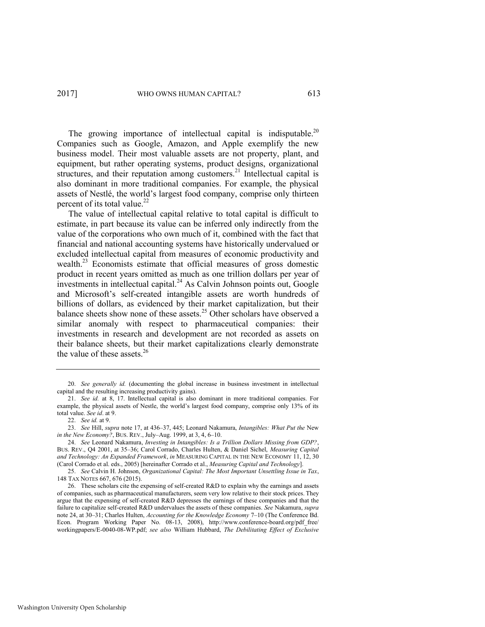The growing importance of intellectual capital is indisputable.<sup>20</sup> Companies such as Google, Amazon, and Apple exemplify the new business model. Their most valuable assets are not property, plant, and equipment, but rather operating systems, product designs, organizational structures, and their reputation among customers.<sup>21</sup> Intellectual capital is also dominant in more traditional companies. For example, the physical assets of Nestlé, the world's largest food company, comprise only thirteen percent of its total value.<sup>22</sup>

<span id="page-7-0"></span>The value of intellectual capital relative to total capital is difficult to estimate, in part because its value can be inferred only indirectly from the value of the corporations who own much of it, combined with the fact that financial and national accounting systems have historically undervalued or excluded intellectual capital from measures of economic productivity and wealth.<sup>23</sup> Economists estimate that official measures of gross domestic product in recent years omitted as much as one trillion dollars per year of  $\frac{1}{2}$  investments in intellectual capital.<sup>24</sup> As Calvin Johnson points out, Google and Microsoft's self-created intangible assets are worth hundreds of billions of dollars, as evidenced by their market capitalization, but their balance sheets show none of these assets.<sup>25</sup> Other scholars have observed a similar anomaly with respect to pharmaceutical companies: their investments in research and development are not recorded as assets on their balance sheets, but their market capitalizations clearly demonstrate the value of these assets. $26$ 

<sup>20.</sup> *See generally id.* (documenting the global increase in business investment in intellectual capital and the resulting increasing productivity gains).

<sup>21.</sup> *See id.* at 8, 17. Intellectual capital is also dominant in more traditional companies. For example, the physical assets of Nestle, the world's largest food company, comprise only 13% of its total value. *See id*. at 9.

<sup>22.</sup> *See id.* at 9.

<sup>23.</sup> *See* Hill, *supra* not[e 17,](#page-6-0) at 436–37, 445; Leonard Nakamura, *Intangibles: What Put the* New *in the New Economy?*, BUS. REV., July–Aug. 1999, at 3, 4, 6–10.

<sup>24.</sup> *See* Leonard Nakamura, *Investing in Intangibles: Is a Trillion Dollars Missing from GDP?*, BUS. REV., Q4 2001, at 35–36; Carol Corrado, Charles Hulten, & Daniel Sichel, *Measuring Capital and Technology: An Expanded Framework*, *in* MEASURING CAPITAL IN THE NEW ECONOMY 11, 12, 30 (Carol Corrado et al. eds., 2005) [hereinafter Corrado et al., *Measuring Capital and Technology*].

<sup>25.</sup> *See* Calvin H. Johnson, *Organizational Capital: The Most Important Unsettling Issue in Tax*, 148 TAX NOTES 667, 676 (2015).

<sup>26.</sup> These scholars cite the expensing of self-created R&D to explain why the earnings and assets of companies, such as pharmaceutical manufacturers, seem very low relative to their stock prices. They argue that the expensing of self-created R&D depresses the earnings of these companies and that the failure to capitalize self-created R&D undervalues the assets of these companies. *See* Nakamura, *supra* note [24,](#page-7-0) at 30–31; Charles Hulten, *Accounting for the Knowledge Economy* 7–10 (The Conference Bd. Econ. Program Working Paper No. 08-13, 2008), http://www.conference-board.org/pdf\_free/ workingpapers/E-0040-08-WP.pdf; *see also* William Hubbard, *The Debilitating Effect of Exclusive*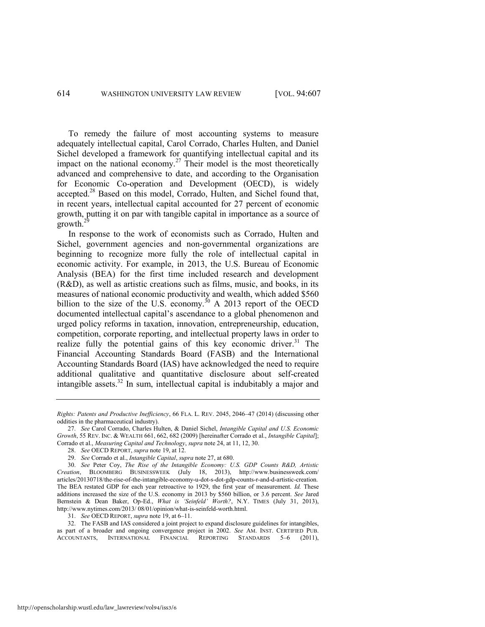<span id="page-8-0"></span>To remedy the failure of most accounting systems to measure adequately intellectual capital, Carol Corrado, Charles Hulten, and Daniel Sichel developed a framework for quantifying intellectual capital and its impact on the national economy.<sup>27</sup> Their model is the most theoretically advanced and comprehensive to date, and according to the Organisation for Economic Co-operation and Development (OECD), is widely accepted.<sup>28</sup> Based on this model, Corrado, Hulten, and Sichel found that, in recent years, intellectual capital accounted for 27 percent of economic growth, putting it on par with tangible capital in importance as a source of  $\frac{1}{2}$ growth.<sup>2</sup>

In response to the work of economists such as Corrado, Hulten and Sichel, government agencies and non-governmental organizations are beginning to recognize more fully the role of intellectual capital in economic activity. For example, in 2013, the U.S. Bureau of Economic Analysis (BEA) for the first time included research and development (R&D), as well as artistic creations such as films, music, and books, in its measures of national economic productivity and wealth, which added \$560 billion to the size of the U.S. economy.<sup>30</sup> A 2013 report of the OECD documented intellectual capital's ascendance to a global phenomenon and urged policy reforms in taxation, innovation, entrepreneurship, education, competition, corporate reporting, and intellectual property laws in order to realize fully the potential gains of this key economic driver.<sup>31</sup> The Financial Accounting Standards Board (FASB) and the International Accounting Standards Board (IAS) have acknowledged the need to require additional qualitative and quantitative disclosure about self-created intangible assets. $32$  In sum, intellectual capital is indubitably a major and

32. The FASB and IAS considered a joint project to expand disclosure guidelines for intangibles, as part of a broader and ongoing convergence project in 2002. *See* AM. INST. CERTIFIED PUB. ACCOUNTANTS, INTERNATIONAL FINANCIAL REPORTING

*Rights: Patents and Productive Inefficiency*, 66 FLA. L. REV. 2045, 2046–47 (2014) (discussing other oddities in the pharmaceutical industry).

<sup>27.</sup> *See* Carol Corrado, Charles Hulten, & Daniel Sichel, *Intangible Capital and U.S. Economic Growth*, 55 REV. INC. & WEALTH 661, 662, 682 (2009) [hereinafter Corrado et al., *Intangible Capital*]; Corrado et al., *Measuring Capital and Technology*, *supra* note [24,](#page-7-0) at 11, 12, 30.

<sup>28.</sup> *See* OECD REPORT, *supra* not[e 19,](#page-6-1) at 12.

<sup>29.</sup> *See* Corrado et al., *Intangible Capital*, *supra* not[e 27,](#page-8-0) at 680.

<sup>30.</sup> *See* Peter Coy, *The Rise of the Intangible Economy: U.S. GDP Counts R&D, Artistic Creation*, BLOOMBERG BUSINESSWEEK (July 18, 2013), [http://www.businessweek.com/](http://www.businessweek.com/‌articles/20130718/) [articles/20130718/th](http://www.businessweek.com/‌articles/20130718/)e-rise-of-the-intangible-economy-u-dot-s-dot-gdp-counts-r-and-d-artistic-creation. The BEA restated GDP for each year retroactive to 1929, the first year of measurement. *Id.* These additions increased the size of the U.S. economy in 2013 by \$560 billion, or 3.6 percent. *See* Jared Bernstein & Dean Baker, Op-Ed., *What is 'Seinfeld' Worth?*, N.Y. TIMES (July 31, 2013), [http://www.nytimes.c](http://www.nytimes/)om/2013/ 08/01/opinion/what-is-seinfeld-worth.html.

<sup>31.</sup> *See* OECD REPORT, *supra* not[e 19,](#page-6-1) at 6–11.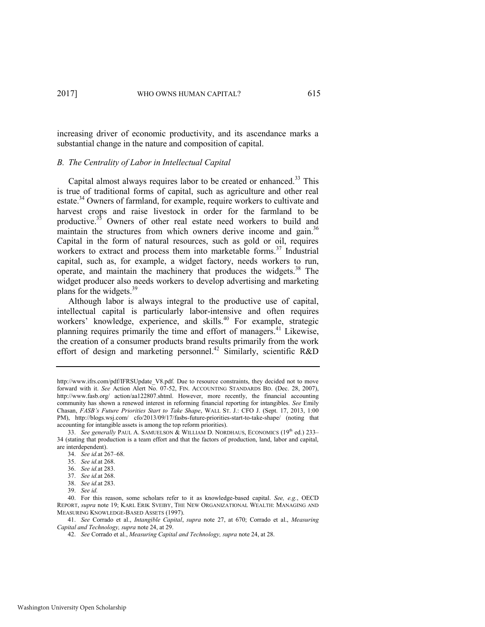increasing driver of economic productivity, and its ascendance marks a substantial change in the nature and composition of capital.

# *B. The Centrality of Labor in Intellectual Capital*

Capital almost always requires labor to be created or enhanced.<sup>33</sup> This is true of traditional forms of capital, such as agriculture and other real estate.<sup>34</sup> Owners of farmland, for example, require workers to cultivate and harvest crops and raise livestock in order for the farmland to be productive.<sup>35</sup> Owners of other real estate need workers to build and maintain the structures from which owners derive income and gain.<sup>36</sup> Capital in the form of natural resources, such as gold or oil, requires workers to extract and process them into marketable forms.<sup>37</sup> Industrial capital, such as, for example, a widget factory, needs workers to run, operate, and maintain the machinery that produces the widgets.<sup>38</sup> The widget producer also needs workers to develop advertising and marketing plans for the widgets.<sup>39</sup>

<span id="page-9-0"></span>Although labor is always integral to the productive use of capital, intellectual capital is particularly labor-intensive and often requires workers' knowledge, experience, and skills.<sup>40</sup> For example, strategic planning requires primarily the time and effort of managers.<sup>41</sup> Likewise, the creation of a consumer products brand results primarily from the work effort of design and marketing personnel.<sup>42</sup> Similarly, scientific R&D

[http://www.ifrs.com/p](http://www.ifrs.com/)df/IFRSUpdate\_V8.pdf. Due to resource constraints, they decided not to move forward with it. *See* Action Alert No. 07-52, FIN. ACCOUNTING STANDARDS BD. (Dec. 28, 2007), <http://www.fasb.org/>action/aa122807.shtml. However, more recently, the financial accounting community has shown a renewed interest in reforming financial reporting for intangibles. *See* Emily Chasan, *FASB's Future Priorities Start to Take Shape*, WALL ST. J.: CFO J. (Sept. 17, 2013, 1:00 PM), <http://blogs.wsj.com/>cfo/2013/09/17/fasbs-future-priorities-start-to-take-shape/ (noting that accounting for intangible assets is among the top reform priorities).

<sup>33.</sup> *See generally* PAUL A. SAMUELSON & WILLIAM D. NORDHAUS, ECONOMICS (19<sup>th</sup> ed.) 233– 34 (stating that production is a team effort and that the factors of production, land, labor and capital, are interdependent).

<sup>34.</sup> *See id.*at 267–68.

<sup>35.</sup> *See id.*at 268.

<sup>36.</sup> *See id.*at 283.

<sup>37.</sup> *See id.*at 268.

<sup>38.</sup> *See id.*at 283.

<sup>39.</sup> *See id.*

<sup>40.</sup> For this reason, some scholars refer to it as knowledge-based capital. *See, e.g.*, OECD REPORT, *supra* not[e 19;](#page-6-1) KARL ERIK SVEIBY, THE NEW ORGANIZATIONAL WEALTH: MANAGING AND MEASURING KNOWLEDGE-BASED ASSETS (1997).

<sup>41.</sup> *See* Corrado et al., *Intangible Capital*, *supra* note [27,](#page-8-0) at 670; Corrado et al., *Measuring Capital and Technology, supra* not[e 24,](#page-7-0) at 29.

<sup>42.</sup> *See* Corrado et al., *Measuring Capital and Technology, supra* not[e 24,](#page-7-0) at 28.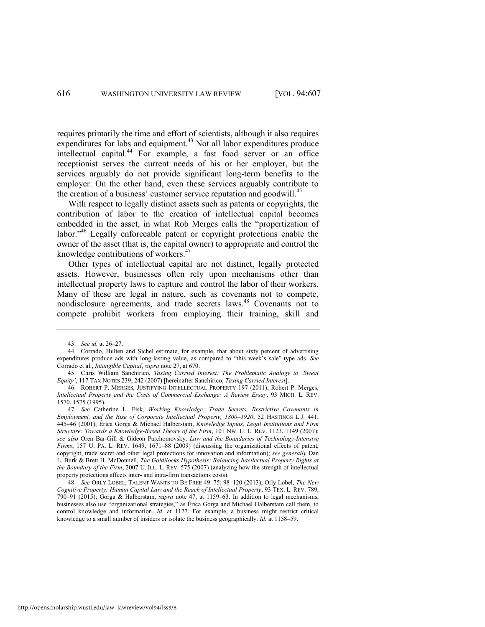requires primarily the time and effort of scientists, although it also requires expenditures for labs and equipment.<sup>43</sup> Not all labor expenditures produce intellectual capital.<sup>44</sup> For example, a fast food server or an office receptionist serves the current needs of his or her employer, but the services arguably do not provide significant long-term benefits to the employer. On the other hand, even these services arguably contribute to the creation of a business' customer service reputation and goodwill.<sup>45</sup>

<span id="page-10-2"></span>With respect to legally distinct assets such as patents or copyrights, the contribution of labor to the creation of intellectual capital becomes embedded in the asset, in what Rob Merges calls the "propertization of labor."<sup>46</sup> Legally enforceable patent or copyright protections enable the owner of the asset (that is, the capital owner) to appropriate and control the knowledge contributions of workers.<sup>47</sup>

<span id="page-10-0"></span>Other types of intellectual capital are not distinct, legally protected assets. However, businesses often rely upon mechanisms other than intellectual property laws to capture and control the labor of their workers. Many of these are legal in nature, such as covenants not to compete, nondisclosure agreements, and trade secrets laws.<sup>48</sup> Covenants not to compete prohibit workers from employing their training, skill and

47. *See* Catherine L. Fisk*, Working Knowledge: Trade Secrets, Restrictive Covenants in Employment, and the Rise of Corporate Intellectual Property, 1800–1920*, 52 HASTINGS L.J. 441, 445–46 (2001); Érica Gorga & Michael Halberstam, *Knowledge Inputs, Legal Institutions and Firm Structure: Towards a Knowledge-Based Theory of the Firm*, 101 NW. U. L. REV. 1123, 1149 (2007); *see also* Oren Bar-Gill & Gideon Parchomovsky, *Law and the Boundaries of Technology-Intensive Firms*, 157 U. PA. L. REV. 1649, 1671–88 (2009) (discussing the organizational effects of patent, copyright, trade secret and other legal protections for innovation and information); *see generally* Dan L. Burk & Brett H. McDonnell, *The Goldilocks Hypothesis: Balancing Intellectual Property Rights at the Boundary of the Firm*, 2007 U. ILL. L. REV. 575 (2007) (analyzing how the strength of intellectual property protections affects inter- and intra-firm transactions costs).

48. *See* ORLY LOBEL, TALENT WANTS TO BE FREE 49–75; 98–120 (2013); Orly Lobel, *The New Cognitive Property: Human Capital Law and the Reach of Intellectual Property*, 93 TEX. L. REV. 789, 790–91 (2015); Gorga & Halberstam, *supra* note [47,](#page-10-0) at 1159–63. In addition to legal mechanisms, businesses also use "organizational strategies," as Érica Gorga and Michael Halberstam call them, to control knowledge and information. *Id.* at 1127. For example, a business might restrict critical knowledge to a small number of insiders or isolate the business geographically. *Id.* at 1158–59.

<span id="page-10-1"></span><sup>43.</sup> *See id.* at 26–27.

<sup>44.</sup> Corrado, Hulten and Sichel estimate, for example, that about sixty percent of advertising expenditures produce ads with long-lasting value, as compared to "this week's sale"-type ads. *See*  Corrado et al., *Intangible Capital*, *supra* not[e 27,](#page-8-0) at 670.

<sup>45.</sup> Chris William Sanchirico, *Taxing Carried Interest: The Problematic Analogy to 'Sweat Equity'*, 117 TAX NOTES 239, 242 (2007) [hereinafter Sanchirico, *Taxing Carried Interest*].

<sup>46.</sup> ROBERT P. MERGES, JUSTIFYING INTELLECTUAL PROPERTY 197 (2011); Robert P. Merges, *Intellectual Property and the Costs of Commercial Exchange: A Review Essay*, 93 MICH. L. REV. 1570, 1575 (1995).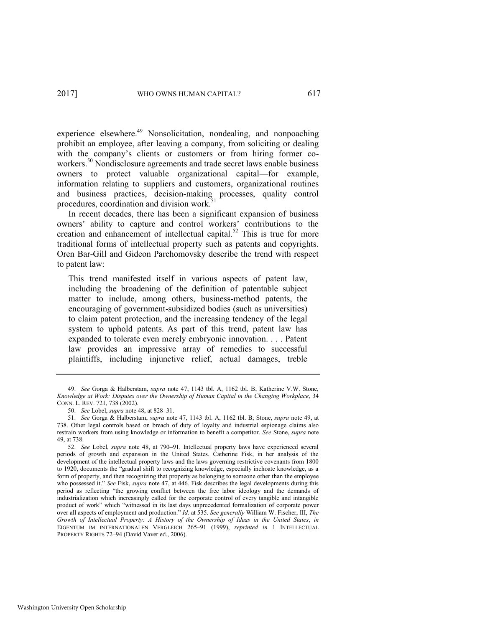<span id="page-11-0"></span>experience elsewhere.<sup>49</sup> Nonsolicitation, nondealing, and nonpoaching prohibit an employee, after leaving a company, from soliciting or dealing with the company's clients or customers or from hiring former coworkers.<sup>50</sup> Nondisclosure agreements and trade secret laws enable business owners to protect valuable organizational capital—for example, information relating to suppliers and customers, organizational routines and business practices, decision-making processes, quality control procedures, coordination and division work.<sup>51</sup>

In recent decades, there has been a significant expansion of business owners' ability to capture and control workers' contributions to the creation and enhancement of intellectual capital.<sup>52</sup> This is true for more traditional forms of intellectual property such as patents and copyrights. Oren Bar-Gill and Gideon Parchomovsky describe the trend with respect to patent law:

This trend manifested itself in various aspects of patent law, including the broadening of the definition of patentable subject matter to include, among others, business-method patents, the encouraging of government-subsidized bodies (such as universities) to claim patent protection, and the increasing tendency of the legal system to uphold patents. As part of this trend, patent law has expanded to tolerate even merely embryonic innovation. . . . Patent law provides an impressive array of remedies to successful plaintiffs, including injunctive relief, actual damages, treble

<sup>49.</sup> *See* Gorga & Halberstam, *supra* note [47,](#page-10-0) 1143 tbl. A, 1162 tbl. B; Katherine V.W. Stone, *Knowledge at Work: Disputes over the Ownership of Human Capital in the Changing Workplace*, 34 CONN. L. REV. 721, 738 (2002).

<sup>50.</sup> *See* Lobel, *supra* not[e 48,](#page-10-1) at 828–31.

<sup>51.</sup> *See* Gorga & Halberstam, *supra* not[e 47,](#page-10-0) 1143 tbl. A, 1162 tbl. B; Stone, *supra* note [49,](#page-11-0) at 738. Other legal controls based on breach of duty of loyalty and industrial espionage claims also restrain workers from using knowledge or information to benefit a competitor. *See* Stone, *supra* note [49,](#page-11-0) at 738.

<sup>52.</sup> *See* Lobel, *supra* note [48,](#page-10-1) at 790–91. Intellectual property laws have experienced several periods of growth and expansion in the United States. Catherine Fisk, in her analysis of the development of the intellectual property laws and the laws governing restrictive covenants from 1800 to 1920, documents the "gradual shift to recognizing knowledge, especially inchoate knowledge, as a form of property, and then recognizing that property as belonging to someone other than the employee who possessed it." *See* Fisk, *supra* note [47,](#page-10-0) at 446. Fisk describes the legal developments during this period as reflecting "the growing conflict between the free labor ideology and the demands of industrialization which increasingly called for the corporate control of every tangible and intangible product of work" which "witnessed in its last days unprecedented formalization of corporate power over all aspects of employment and production." *Id.* at 535. *See generally* William W. Fischer, III, *The Growth of Intellectual Property: A History of the Ownership of Ideas in the United States*, *in*  EIGENTUM IM INTERNATIONALEN VERGLEICH 265–91 (1999), *reprinted in* 1 INTELLECTUAL PROPERTY RIGHTS 72–94 (David Vaver ed., 2006).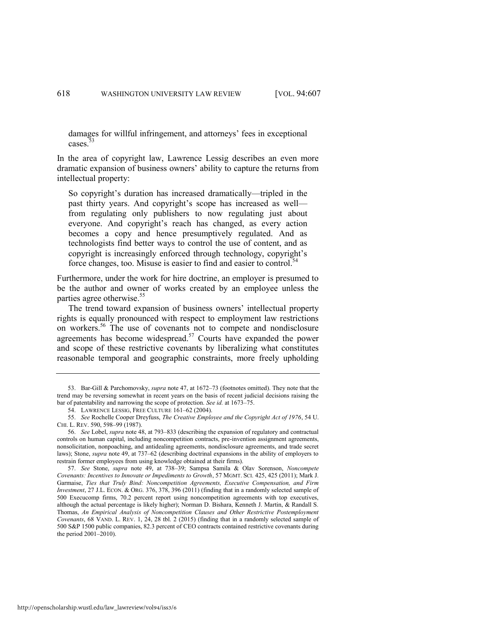damages for willful infringement, and attorneys' fees in exceptional cases.<sup>3</sup>

In the area of copyright law, Lawrence Lessig describes an even more dramatic expansion of business owners' ability to capture the returns from intellectual property:

So copyright's duration has increased dramatically—tripled in the past thirty years. And copyright's scope has increased as well from regulating only publishers to now regulating just about everyone. And copyright's reach has changed, as every action becomes a copy and hence presumptively regulated. And as technologists find better ways to control the use of content, and as copyright is increasingly enforced through technology, copyright's force changes, too. Misuse is easier to find and easier to control.<sup>54</sup>

Furthermore, under the work for hire doctrine, an employer is presumed to be the author and owner of works created by an employee unless the parties agree otherwise.<sup>55</sup>

<span id="page-12-0"></span>The trend toward expansion of business owners' intellectual property rights is equally pronounced with respect to employment law restrictions on workers.<sup>56</sup> The use of covenants not to compete and nondisclosure agreements has become widespread.<sup>57</sup> Courts have expanded the power and scope of these restrictive covenants by liberalizing what constitutes reasonable temporal and geographic constraints, more freely upholding

<sup>53.</sup> Bar-Gill & Parchomovsky, *supra* not[e 47,](#page-10-0) at 1672–73 (footnotes omitted). They note that the trend may be reversing somewhat in recent years on the basis of recent judicial decisions raising the bar of patentability and narrowing the scope of protection. *See id.* at 1673–75.

<sup>54.</sup> LAWRENCE LESSIG, FREE CULTURE 161–62 (2004).

<sup>55.</sup> *See* Rochelle Cooper Dreyfuss, *The Creative Employee and the Copyright Act of 1976*, 54 U. CHI. L. REV. 590, 598–99 (1987).

<sup>56.</sup> *See* Lobel, *supra* not[e 48,](#page-10-1) at 793–833 (describing the expansion of regulatory and contractual controls on human capital, including noncompetition contracts, pre-invention assignment agreements, nonsolicitation, nonpoaching, and antidealing agreements, nondisclosure agreements, and trade secret laws); Stone, *supra* not[e 49,](#page-11-0) at 737–62 (describing doctrinal expansions in the ability of employers to restrain former employees from using knowledge obtained at their firms).

<sup>57.</sup> *See* Stone, *supra* note [49,](#page-11-0) at 738–39; Sampsa Samila & Olav Sorenson, *Noncompete Covenants: Incentives to Innovate or Impediments to Growth*, 57 MGMT. SCI. 425, 425 (2011); Mark J. Garmaise, *Ties that Truly Bind: Noncompetition Agreements, Executive Compensation, and Firm Investment*, 27 J.L. ECON. & ORG. 376, 378, 396 (2011) (finding that in a randomly selected sample of 500 Execucomp firms, 70.2 percent report using noncompetition agreements with top executives, although the actual percentage is likely higher); Norman D. Bishara, Kenneth J. Martin, & Randall S. Thomas, *An Empirical Analysis of Noncompetition Clauses and Other Restrictive Postemployment Covenants*, 68 VAND. L. REV. 1, 24, 28 tbl. 2 (2015) (finding that in a randomly selected sample of 500 S&P 1500 public companies, 82.3 percent of CEO contracts contained restrictive covenants during the period 2001–2010).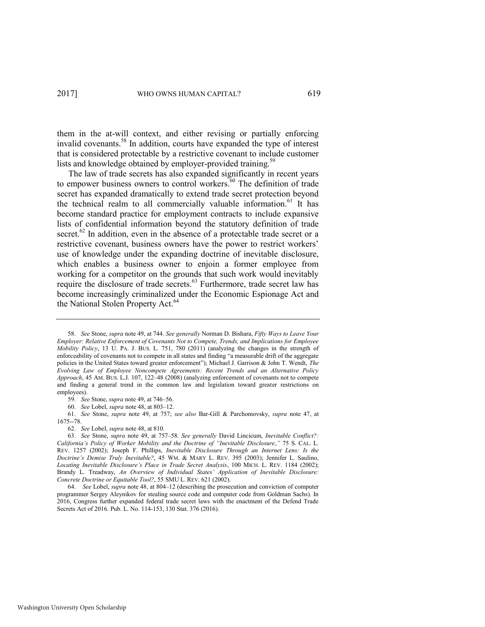<span id="page-13-0"></span>them in the at-will context, and either revising or partially enforcing invalid covenants.<sup>58</sup> In addition, courts have expanded the type of interest that is considered protectable by a restrictive covenant to include customer lists and knowledge obtained by employer-provided training.<sup>59</sup>

The law of trade secrets has also expanded significantly in recent years to empower business owners to control workers. $60$  The definition of trade secret has expanded dramatically to extend trade secret protection beyond the technical realm to all commercially valuable information.<sup>61</sup> It has become standard practice for employment contracts to include expansive lists of confidential information beyond the statutory definition of trade secret.<sup>62</sup> In addition, even in the absence of a protectable trade secret or a restrictive covenant, business owners have the power to restrict workers' use of knowledge under the expanding doctrine of inevitable disclosure, which enables a business owner to enjoin a former employee from working for a competitor on the grounds that such work would inevitably require the disclosure of trade secrets.<sup>63</sup> Furthermore, trade secret law has become increasingly criminalized under the Economic Espionage Act and the National Stolen Property Act.<sup>64</sup>

59. *See* Stone, *supra* not[e 49,](#page-11-0) at 746–56.

62. *See* Lobel, *supra* not[e 48,](#page-10-1) at 810.

<sup>58.</sup> *See* Stone, *supra* not[e 49,](#page-11-0) at 744. *See generally* Norman D. Bishara, *Fifty Ways to Leave Your Employer: Relative Enforcement of Covenants Not to Compete, Trends, and Implications for Employee Mobility Policy*, 13 U. PA. J. BUS. L. 751, 780 (2011) (analyzing the changes in the strength of enforceability of covenants not to compete in all states and finding "a measurable drift of the aggregate policies in the United States toward greater enforcement"); Michael J. Garrison & John T. Wendt, *The Evolving Law of Employee Noncompete Agreements: Recent Trends and an Alternative Policy Approach*, 45 AM. BUS. L.J. 107, 122–48 (2008) (analyzing enforcement of covenants not to compete and finding a general trend in the common law and legislation toward greater restrictions on employees).

<sup>60.</sup> *See* Lobel, *supra* not[e 48,](#page-10-1) at 803–12.

<sup>61.</sup> *See* Stone, *supra* note [49,](#page-11-0) at 757; *see also* Bar-Gill & Parchomovsky, *supra* note [47,](#page-10-0) at

<sup>1675--78.</sup> 

<sup>63.</sup> *See* Stone, *supra* note [49,](#page-11-0) at 757–58. *See generally* David Lincicum, *Inevitable Conflict?: California's Policy of Worker Mobility and the Doctrine of "Inevitable Disclosure*,*"* 75 S. CAL. L. REV. 1257 (2002); Joseph F. Phillips, *Inevitable Disclosure Through an Internet Lens: Is the Doctrine's Demise Truly Inevitable?*, 45 WM. & MARY L. REV. 395 (2003); Jennifer L. Saulino, *Locating Inevitable Disclosure's Place in Trade Secret Analysis*, 100 MICH. L. REV. 1184 (2002); Brandy L. Treadway, *An Overview of Individual States' Application of Inevitable Disclosure: Concrete Doctrine or Equitable Tool?*, 55 SMU L. REV. 621 (2002).

<sup>64.</sup> *See* Lobel, *supra* note [48,](#page-10-1) at 804–12 (describing the prosecution and conviction of computer programmer Sergey Aleynikov for stealing source code and computer code from Goldman Sachs). In 2016, Congress further expanded federal trade secret laws with the enactment of the Defend Trade Secrets Act of 2016. Pub. L. No. 114-153, 130 Stat. 376 (2016).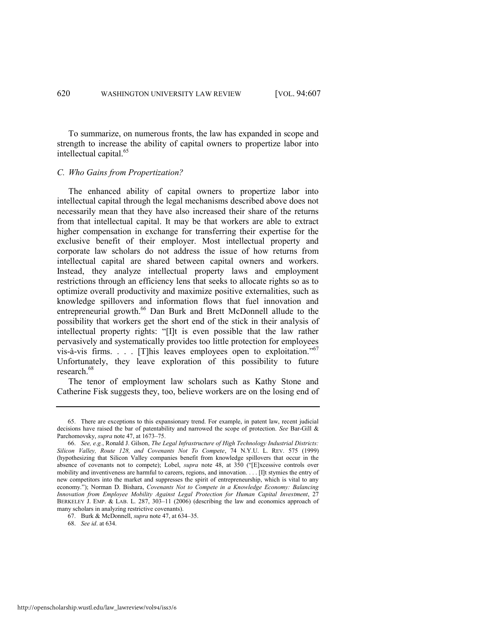To summarize, on numerous fronts, the law has expanded in scope and strength to increase the ability of capital owners to propertize labor into intellectual capital.<sup>65</sup>

# *C. Who Gains from Propertization?*

The enhanced ability of capital owners to propertize labor into intellectual capital through the legal mechanisms described above does not necessarily mean that they have also increased their share of the returns from that intellectual capital. It may be that workers are able to extract higher compensation in exchange for transferring their expertise for the exclusive benefit of their employer. Most intellectual property and corporate law scholars do not address the issue of how returns from intellectual capital are shared between capital owners and workers. Instead, they analyze intellectual property laws and employment restrictions through an efficiency lens that seeks to allocate rights so as to optimize overall productivity and maximize positive externalities, such as knowledge spillovers and information flows that fuel innovation and entrepreneurial growth.<sup>66</sup> Dan Burk and Brett McDonnell allude to the possibility that workers get the short end of the stick in their analysis of intellectual property rights: "[I]t is even possible that the law rather pervasively and systematically provides too little protection for employees vis-à-vis firms.  $\therefore$  [T] his leaves employees open to exploitation.<sup>"67</sup> Unfortunately, they leave exploration of this possibility to future research.<sup>68</sup>

<span id="page-14-0"></span>The tenor of employment law scholars such as Kathy Stone and Catherine Fisk suggests they, too, believe workers are on the losing end of

<sup>65.</sup> There are exceptions to this expansionary trend. For example, in patent law, recent judicial decisions have raised the bar of patentability and narrowed the scope of protection. *See* Bar-Gill & Parchomovsky, *supra* not[e 47,](#page-10-0) at 1673–75.

<sup>66.</sup> *See, e.g.*, Ronald J. Gilson, *The Legal Infrastructure of High Technology Industrial Districts: Silicon Valley, Route 128, and Covenants Not To Compete*, 74 N.Y.U. L. REV. 575 (1999) (hypothesizing that Silicon Valley companies benefit from knowledge spillovers that occur in the absence of covenants not to compete); Lobel, *supra* note [48](#page-10-1), at 350 ("[E]xcessive controls over mobility and inventiveness are harmful to careers, regions, and innovation. . . . [I]t stymies the entry of new competitors into the market and suppresses the spirit of entrepreneurship, which is vital to any economy."); Norman D. Bishara, *Covenants Not to Compete in a Knowledge Economy: Balancing Innovation from Employee Mobility Against Legal Protection for Human Capital Investment*, 27 BERKELEY J. EMP. & LAB. L. 287, 303–11 (2006) (describing the law and economics approach of many scholars in analyzing restrictive covenants).

<sup>67.</sup> Burk & McDonnell, *supra* not[e 47,](#page-10-0) at 634–35.

<sup>68.</sup> *See id*. at 634.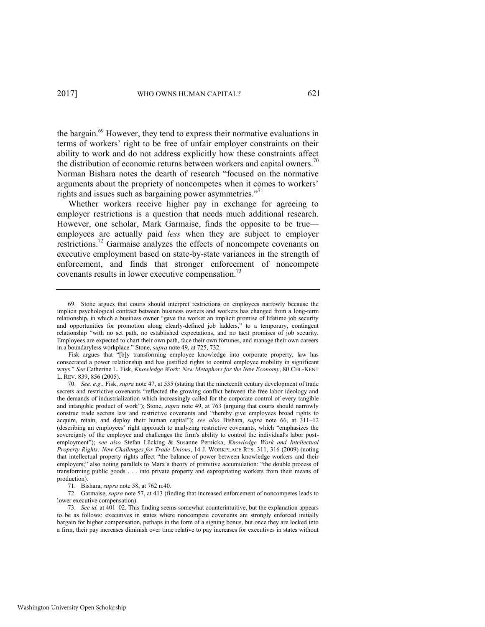<span id="page-15-0"></span>the bargain.<sup>69</sup> However, they tend to express their normative evaluations in terms of workers' right to be free of unfair employer constraints on their ability to work and do not address explicitly how these constraints affect the distribution of economic returns between workers and capital owners.<sup>70</sup> Norman Bishara notes the dearth of research "focused on the normative arguments about the propriety of noncompetes when it comes to workers' rights and issues such as bargaining power asymmetries."<sup>71</sup>

Whether workers receive higher pay in exchange for agreeing to employer restrictions is a question that needs much additional research. However, one scholar, Mark Garmaise, finds the opposite to be true employees are actually paid *less* when they are subject to employer restrictions.<sup>72</sup> Garmaise analyzes the effects of noncompete covenants on executive employment based on state-by-state variances in the strength of enforcement, and finds that stronger enforcement of noncompete covenants results in lower executive compensation.<sup>73</sup>

<sup>69.</sup> Stone argues that courts should interpret restrictions on employees narrowly because the implicit psychological contract between business owners and workers has changed from a long-term relationship, in which a business owner "gave the worker an implicit promise of lifetime job security and opportunities for promotion along clearly-defined job ladders," to a temporary, contingent relationship "with no set path, no established expectations, and no tacit promises of job security. Employees are expected to chart their own path, face their own fortunes, and manage their own careers in a boundaryless workplace." Stone, *supra* not[e 49,](#page-11-0) at 725, 732.

Fisk argues that "[b]y transforming employee knowledge into corporate property, law has consecrated a power relationship and has justified rights to control employee mobility in significant ways." *See* Catherine L. Fisk, *Knowledge Work: New Metaphors for the New Economy*, 80 CHI.-KENT L. REV. 839, 856 (2005).

<sup>70.</sup> *See, e.g.*, Fisk, *supra* not[e 47,](#page-10-0) at 535 (stating that the nineteenth century development of trade secrets and restrictive covenants "reflected the growing conflict between the free labor ideology and the demands of industrialization which increasingly called for the corporate control of every tangible and intangible product of work"); Stone, *supra* note [49,](#page-11-0) at 763 (arguing that courts should narrowly construe trade secrets law and restrictive covenants and "thereby give employees broad rights to acquire, retain, and deploy their human capital"); *see also* Bishara, *supra* note [66,](#page-14-0) at 311–12 (describing an employees' right approach to analyzing restrictive covenants, which "emphasizes the sovereignty of the employee and challenges the firm's ability to control the individual's labor postemployment"); *see also* Stefan Lücking & Susanne Pernicka, *Knowledge Work and Intellectual Property Rights: New Challenges for Trade Unions*, 14 J. WORKPLACE RTS. 311, 316 (2009) (noting that intellectual property rights affect "the balance of power between knowledge workers and their employers;" also noting parallels to Marx's theory of primitive accumulation: "the double process of transforming public goods . . . into private property and expropriating workers from their means of production).

<sup>71.</sup> Bishara, *supra* not[e 58,](#page-13-0) at 762 n.40.

<sup>72.</sup> Garmaise, *supra* not[e 57,](#page-12-0) at 413 (finding that increased enforcement of noncompetes leads to lower executive compensation).

<sup>73.</sup> *See id.* at 401–02. This finding seems somewhat counterintuitive, but the explanation appears to be as follows: executives in states where noncompete covenants are strongly enforced initially bargain for higher compensation, perhaps in the form of a signing bonus, but once they are locked into a firm, their pay increases diminish over time relative to pay increases for executives in states without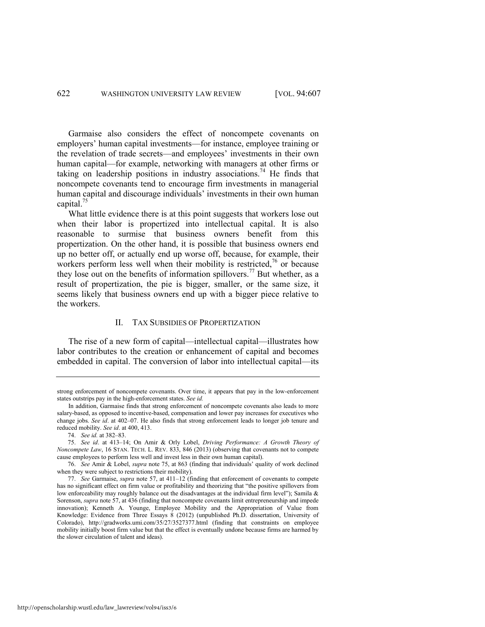Garmaise also considers the effect of noncompete covenants on employers' human capital investments—for instance, employee training or the revelation of trade secrets—and employees' investments in their own human capital—for example, networking with managers at other firms or taking on leadership positions in industry associations.<sup>74</sup> He finds that noncompete covenants tend to encourage firm investments in managerial human capital and discourage individuals' investments in their own human capital.<sup>75</sup>

<span id="page-16-0"></span>What little evidence there is at this point suggests that workers lose out when their labor is propertized into intellectual capital. It is also reasonable to surmise that business owners benefit from this propertization. On the other hand, it is possible that business owners end up no better off, or actually end up worse off, because, for example, their workers perform less well when their mobility is restricted,<sup>76</sup> or because they lose out on the benefits of information spillovers.<sup>77</sup> But whether, as a result of propertization, the pie is bigger, smaller, or the same size, it seems likely that business owners end up with a bigger piece relative to the workers.

# <span id="page-16-1"></span>II. TAX SUBSIDIES OF PROPERTIZATION

The rise of a new form of capital—intellectual capital—illustrates how labor contributes to the creation or enhancement of capital and becomes embedded in capital. The conversion of labor into intellectual capital—its

74. *See id.* at 382–83.

strong enforcement of noncompete covenants. Over time, it appears that pay in the low-enforcement states outstrips pay in the high-enforcement states. *See id.* 

In addition, Garmaise finds that strong enforcement of noncompete covenants also leads to more salary-based, as opposed to incentive-based, compensation and lower pay increases for executives who change jobs. *See id*. at 402–07. He also finds that strong enforcement leads to longer job tenure and reduced mobility. *See id*. at 400, 413.

<sup>75.</sup> *See id*. at 413–14; On Amir & Orly Lobel, *Driving Performance: A Growth Theory of Noncompete Law*, 16 STAN. TECH. L. REV. 833, 846 (2013) (observing that covenants not to compete cause employees to perform less well and invest less in their own human capital).

<sup>76.</sup> *See* Amir & Lobel, *supra* note [75](#page-16-0), at 863 (finding that individuals' quality of work declined when they were subject to restrictions their mobility).

<sup>77.</sup> *See* Garmaise, *supra* note [57,](#page-12-0) at 411–12 (finding that enforcement of covenants to compete has no significant effect on firm value or profitability and theorizing that "the positive spillovers from low enforceability may roughly balance out the disadvantages at the individual firm level"); Samila & Sorenson, *supra* note [57,](#page-12-0) at 436 (finding that noncompete covenants limit entrepreneurship and impede innovation); Kenneth A. Younge, Employee Mobility and the Appropriation of Value from Knowledge: Evidence from Three Essays 8 (2012) (unpublished Ph.D. dissertation, University of Colorado), http://gradworks.umi.com/35/27/3527377.html (finding that constraints on employee mobility initially boost firm value but that the effect is eventually undone because firms are harmed by the slower circulation of talent and ideas).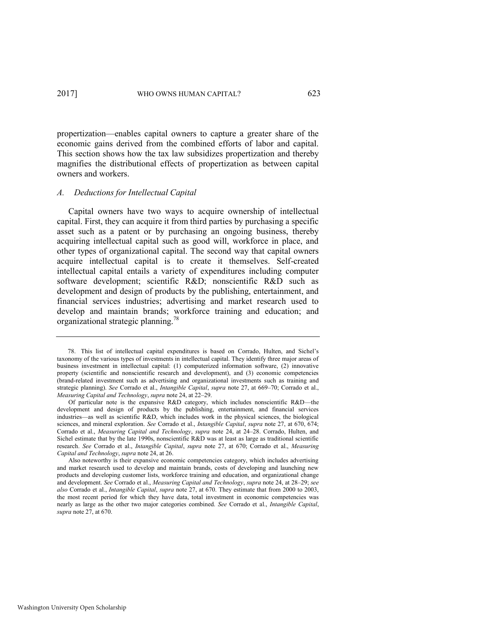propertization—enables capital owners to capture a greater share of the economic gains derived from the combined efforts of labor and capital. This section shows how the tax law subsidizes propertization and thereby magnifies the distributional effects of propertization as between capital owners and workers.

### *A. Deductions for Intellectual Capital*

Capital owners have two ways to acquire ownership of intellectual capital. First, they can acquire it from third parties by purchasing a specific asset such as a patent or by purchasing an ongoing business, thereby acquiring intellectual capital such as good will, workforce in place, and other types of organizational capital. The second way that capital owners acquire intellectual capital is to create it themselves. Self-created intellectual capital entails a variety of expenditures including computer software development; scientific R&D; nonscientific R&D such as development and design of products by the publishing, entertainment, and financial services industries; advertising and market research used to develop and maintain brands; workforce training and education; and organizational strategic planning.<sup>78</sup>

<span id="page-17-0"></span><sup>78.</sup> This list of intellectual capital expenditures is based on Corrado, Hulten, and Sichel's taxonomy of the various types of investments in intellectual capital. They identify three major areas of business investment in intellectual capital: (1) computerized information software, (2) innovative property (scientific and nonscientific research and development), and (3) economic competencies (brand-related investment such as advertising and organizational investments such as training and strategic planning). *See* Corrado et al., *Intangible Capital*, *supra* note [27,](#page-8-0) at 669–70; Corrado et al., *Measuring Capital and Technology*, *supra* not[e 24,](#page-7-0) at 22–29.

Of particular note is the expansive R&D category, which includes nonscientific R&D—the development and design of products by the publishing, entertainment, and financial services industries—as well as scientific R&D, which includes work in the physical sciences, the biological sciences, and mineral exploration. *See* Corrado et al., *Intangible Capital*, *supra* not[e 27,](#page-8-0) at 670, 674; Corrado et al., *Measuring Capital and Technology*, *supra* note [24,](#page-7-0) at 24–28. Corrado, Hulten, and Sichel estimate that by the late 1990s, nonscientific R&D was at least as large as traditional scientific research. *See* Corrado et al., *Intangible Capital*, *supra* note [27,](#page-8-0) at 670; Corrado et al., *Measuring Capital and Technology*, *supra* not[e 24,](#page-7-0) at 26.

Also noteworthy is their expansive economic competencies category, which includes advertising and market research used to develop and maintain brands, costs of developing and launching new products and developing customer lists, workforce training and education, and organizational change and development. *See* Corrado et al., *Measuring Capital and Technology*, *supra* note [24,](#page-7-0) at 28–29; *see also* Corrado et al., *Intangible Capital*, *supra* not[e 27,](#page-8-0) at 670. They estimate that from 2000 to 2003, the most recent period for which they have data, total investment in economic competencies was nearly as large as the other two major categories combined. *See* Corrado et al., *Intangible Capital*, *supra* not[e 27,](#page-8-0) at 670.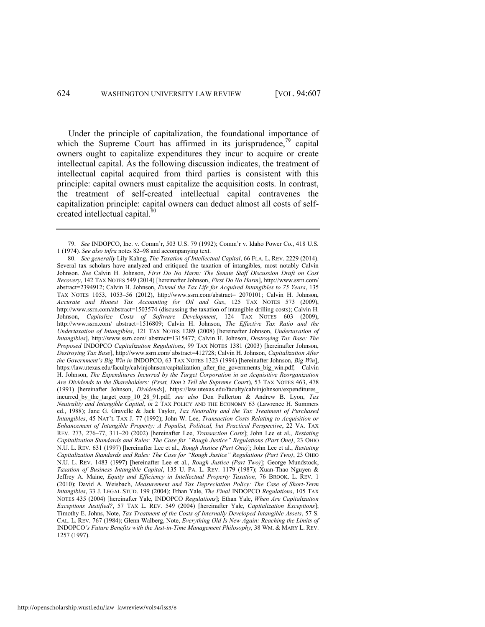Under the principle of capitalization, the foundational importance of which the Supreme Court has affirmed in its jurisprudence,<sup>79</sup> capital owners ought to capitalize expenditures they incur to acquire or create intellectual capital. As the following discussion indicates, the treatment of intellectual capital acquired from third parties is consistent with this principle: capital owners must capitalize the acquisition costs. In contrast, the treatment of self-created intellectual capital contravenes the capitalization principle: capital owners can deduct almost all costs of selfcreated intellectual capital.<sup>80</sup>

<span id="page-18-0"></span><sup>79.</sup> *See* INDOPCO, Inc. v. Comm'r, 503 U.S. 79 (1992); Comm'r v. Idaho Power Co., 418 U.S. 1 (1974). *See also infra* note[s 82](#page-19-0)–[98](#page-21-0) and accompanying text.

<sup>80.</sup> *See generally* Lily Kahng, *The Taxation of Intellectual Capital*, 66 FLA. L. REV. 2229 (2014). Several tax scholars have analyzed and critiqued the taxation of intangibles, most notably Calvin Johnson. *See* Calvin H. Johnson, *First Do No Harm: The Senate Staff Discussion Draft on Cost Recovery*, 142 TAX NOTES 549 (2014) [hereinafter Johnson, *First Do No Harm*][, http://www.ssrn.com/](http://www.ssrn.com/) abstract=2394912; Calvin H. Johnson, *Extend the Tax Life for Acquired Intangibles to 75 Years*, 135 TAX NOTES 1053, 1053–56 (2012), [http://www.ssrn.com/a](http://www.ssrn.com/)bstract= 2070101; Calvin H. Johnson, *Accurate and Honest Tax Accounting for Oil and Gas*, 125 TAX NOTES 573 (2009), http://www.ssrn.com/abstract=1503574 (discussing the taxation of intangible drilling costs); Calvin H. Johnson, *Capitalize Costs of Software Development*, 124 TAX NOTES 603 (2009), <http://www.ssrn.com/>abstract=1516809; Calvin H. Johnson, *The Effective Tax Ratio and the Undertaxation of Intangibles*, 121 TAX NOTES 1289 (2008) [hereinafter Johnson, *Undertaxation of Intangibles*],<http://www.ssrn.com/>abstract=1315477; Calvin H. Johnson, *Destroying Tax Base: The Proposed* INDOPCO *Capitalization Regulations*, 99 TAX NOTES 1381 (2003) [hereinafter Johnson, *Destroying Tax Base*], http://www.ssrn.com/ abstract=412728; Calvin H. Johnson, *Capitalization After the Government's Big Win in* INDOPCO, 63 TAX NOTES 1323 (1994) [hereinafter Johnson, *Big Win*], [https://law.utexas.edu/faculty/calvinjohnson/capitalization\\_after\\_the\\_governments\\_big\\_win.pdf;](https://law.utexas.edu/%20faculty/calvinjohnson/capitalization_after_the_governments_big_win.pdf) Calvin H. Johnson, *The Expenditures Incurred by the Target Corporation in an Acquisitive Reorganization Are Dividends to the Shareholders: (Pssst, Don't Tell the Supreme Court*), 53 TAX NOTES 463, 478 (1991) [hereinafter Johnson, *Dividends*], [https://law.utexas.edu/f](https://law.utexas.edu/)aculty/calvinjohnson/expenditures\_ incurred\_by\_the\_target\_corp\_10\_28\_91.pdf; *see also* Don Fullerton & Andrew B. Lyon, *Tax Neutrality and Intangible Capital*, *in* 2 TAX POLICY AND THE ECONOMY 63 (Lawrence H. Summers ed., 1988); Jane G. Gravelle & Jack Taylor, *Tax Neutrality and the Tax Treatment of Purchased Intangibles*, 45 NAT'L TAX J. 77 (1992); John W. Lee, *Transaction Costs Relating to Acquisition or Enhancement of Intangible Property: A Populist, Political, but Practical Perspective*, 22 VA. TAX REV. 273, 276–77, 311–20 (2002) [hereinafter Lee, *Transaction Costs*]; John Lee et al., *Restating Capitalization Standards and Rules: The Case for "Rough Justice" Regulations (Part One)*, 23 OHIO N.U. L. REV. 631 (1997) [hereinafter Lee et al., *Rough Justice (Part One)*]; John Lee et al., *Restating Capitalization Standards and Rules: The Case for "Rough Justice" Regulations (Part Two)*, 23 OHIO N.U. L. REV. 1483 (1997) [hereinafter Lee et al., *Rough Justice (Part Two)*]; George Mundstock, *Taxation of Business Intangible Capital*, 135 U. PA. L. REV. 1179 (1987); Xuan-Thao Nguyen & Jeffrey A. Maine, *Equity and Efficiency in Intellectual Property Taxation*, 76 BROOK. L. REV. 1 (2010); David A. Weisbach, *Measurement and Tax Depreciation Policy: The Case of Short-Term Intangibles*, 33 J. LEGAL STUD. 199 (2004); Ethan Yale, *The Final* INDOPCO *Regulations*, 105 TAX NOTES 435 (2004) [hereinafter Yale, INDOPCO *Regulations*]; Ethan Yale, *When Are Capitalization Exceptions Justified?*, 57 TAX L. REV. 549 (2004) [hereinafter Yale, *Capitalization Exceptions*]; Timothy E. Johns, Note, *Tax Treatment of the Costs of Internally Developed Intangible Assets*, 57 S. CAL. L. REV. 767 (1984); Glenn Walberg, Note, *Everything Old Is New Again: Reaching the Limits of*  INDOPCO*'s Future Benefits with the Just-in-Time Management Philosophy*, 38 WM. & MARY L. REV. 1257 (1997).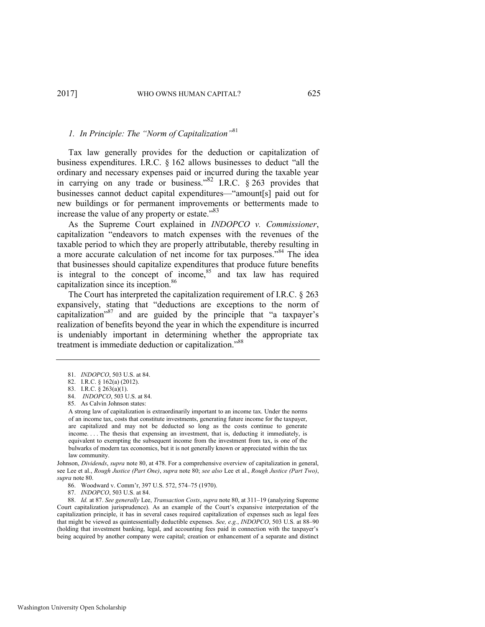# <span id="page-19-0"></span>*1. In Principle: The "Norm of Capitalization"*<sup>81</sup>

Tax law generally provides for the deduction or capitalization of business expenditures. I.R.C. § 162 allows businesses to deduct "all the ordinary and necessary expenses paid or incurred during the taxable year in carrying on any trade or business." $82$  I.R.C. § 263 provides that businesses cannot deduct capital expenditures—"amount[s] paid out for new buildings or for permanent improvements or betterments made to increase the value of any property or estate."<sup>83</sup>

As the Supreme Court explained in *INDOPCO v. Commissioner*, capitalization "endeavors to match expenses with the revenues of the taxable period to which they are properly attributable, thereby resulting in a more accurate calculation of net income for tax purposes."<sup>84</sup> The idea that businesses should capitalize expenditures that produce future benefits is integral to the concept of income, $85$  and tax law has required capitalization since its inception.<sup>86</sup>

The Court has interpreted the capitalization requirement of I.R.C. § 263 expansively, stating that "deductions are exceptions to the norm of capitalization"<sup>87</sup> and are guided by the principle that "a taxpayer's realization of benefits beyond the year in which the expenditure is incurred is undeniably important in determining whether the appropriate tax treatment is immediate deduction or capitalization."<sup>88</sup>

A strong law of capitalization is extraordinarily important to an income tax. Under the norms of an income tax, costs that constitute investments, generating future income for the taxpayer, are capitalized and may not be deducted so long as the costs continue to generate income. . . . The thesis that expensing an investment, that is, deducting it immediately, is equivalent to exempting the subsequent income from the investment from tax, is one of the bulwarks of modern tax economics, but it is not generally known or appreciated within the tax law community.

Johnson, *Dividends*, *supra* not[e 80,](#page-18-0) at 478. For a comprehensive overview of capitalization in general, see Lee et al., *Rough Justice (Part One)*, *supra* not[e 80;](#page-18-0) *see also* Lee et al., *Rough Justice (Part Two)*, *supra* not[e 80.](#page-18-0) 

86. Woodward v. Comm'r, 397 U.S. 572, 574–75 (1970).

87. *INDOPCO*, 503 U.S. at 84.

88. *Id.* at 87. *See generally* Lee, *Transaction Costs*, *supra* not[e 80,](#page-18-0) at 311–19 (analyzing Supreme Court capitalization jurisprudence). As an example of the Court's expansive interpretation of the capitalization principle, it has in several cases required capitalization of expenses such as legal fees that might be viewed as quintessentially deductible expenses. *See, e.g.*, *INDOPCO*, 503 U.S. at 88–90 (holding that investment banking, legal, and accounting fees paid in connection with the taxpayer's being acquired by another company were capital; creation or enhancement of a separate and distinct

<sup>81.</sup> *INDOPCO*, 503 U.S. at 84.

<sup>82.</sup> I.R.C. § 162(a) (2012).

<sup>83.</sup> I.R.C. § 263(a)(1).

<sup>84.</sup> *INDOPCO*, 503 U.S. at 84.

<sup>85.</sup> As Calvin Johnson states: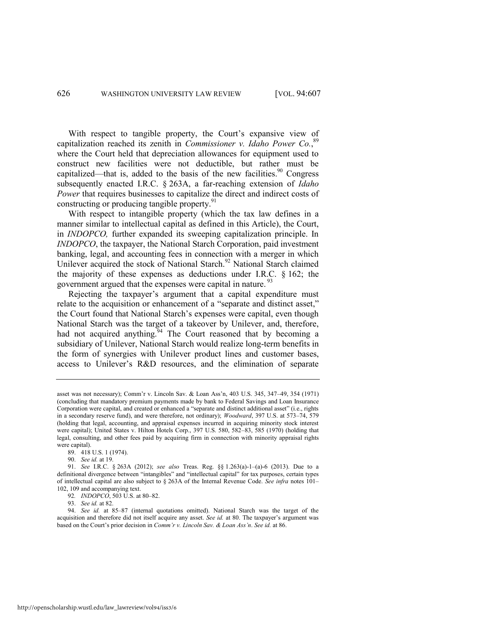With respect to tangible property, the Court's expansive view of capitalization reached its zenith in *Commissioner v. Idaho Power Co.*, 89 where the Court held that depreciation allowances for equipment used to construct new facilities were not deductible, but rather must be capitalized—that is, added to the basis of the new facilities. $90$  Congress subsequently enacted I.R.C. § 263A, a far-reaching extension of *Idaho Power* that requires businesses to capitalize the direct and indirect costs of constructing or producing tangible property.<sup>91</sup>

With respect to intangible property (which the tax law defines in a manner similar to intellectual capital as defined in this Article), the Court, in *INDOPCO,* further expanded its sweeping capitalization principle. In *INDOPCO*, the taxpayer, the National Starch Corporation, paid investment banking, legal, and accounting fees in connection with a merger in which Unilever acquired the stock of National Starch.<sup>92</sup> National Starch claimed the majority of these expenses as deductions under I.R.C. § 162; the government argued that the expenses were capital in nature.<sup>9</sup>

Rejecting the taxpayer's argument that a capital expenditure must relate to the acquisition or enhancement of a "separate and distinct asset," the Court found that National Starch's expenses were capital, even though National Starch was the target of a takeover by Unilever, and, therefore, had not acquired anything.<sup>94</sup> The Court reasoned that by becoming a subsidiary of Unilever, National Starch would realize long-term benefits in the form of synergies with Unilever product lines and customer bases, access to Unilever's R&D resources, and the elimination of separate

93. *See id.* at 82.

94. *See id.* at 85–87 (internal quotations omitted). National Starch was the target of the acquisition and therefore did not itself acquire any asset. *See id.* at 80. The taxpayer's argument was based on the Court's prior decision in *Comm'r v. Lincoln Sav. & Loan Ass'n*. *See id.* at 86.

asset was not necessary); Comm'r v. Lincoln Sav. & Loan Ass'n, 403 U.S. 345, 347–49, 354 (1971) (concluding that mandatory premium payments made by bank to Federal Savings and Loan Insurance Corporation were capital, and created or enhanced a "separate and distinct additional asset" (i.e., rights in a secondary reserve fund), and were therefore, not ordinary); *Woodward*, 397 U.S. at 573–74, 579 (holding that legal, accounting, and appraisal expenses incurred in acquiring minority stock interest were capital); United States v. Hilton Hotels Corp., 397 U.S. 580, 582–83, 585 (1970) (holding that legal, consulting, and other fees paid by acquiring firm in connection with minority appraisal rights were capital).

<sup>89. 418</sup> U.S. 1 (1974).

<sup>90.</sup> *See id.* at 19.

<sup>91.</sup> *See* I.R.C. § 263A (2012); *see also* Treas. Reg. §§ 1.263(a)-1–(a)-6 (2013). Due to a definitional divergence between "intangibles" and "intellectual capital" for tax purposes, certain types of intellectual capital are also subject to § 263A of the Internal Revenue Code. *See infra* notes [101](#page-22-0)– [102,](#page-22-1) [109](#page-23-0) and accompanying text.

<sup>92</sup>*. INDOPCO*, 503 U.S. at 80–82.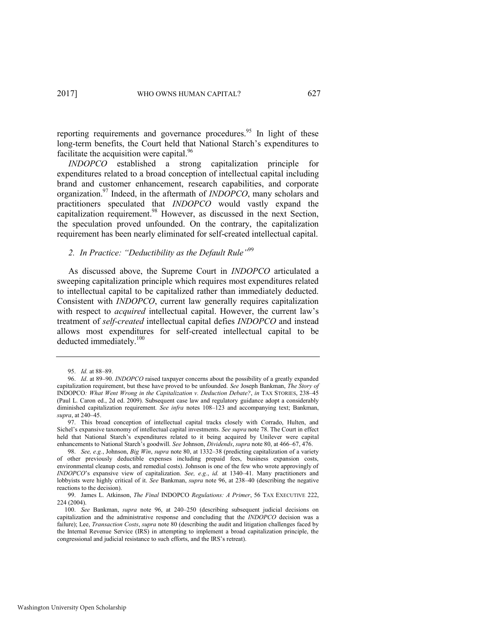reporting requirements and governance procedures.<sup>95</sup> In light of these long-term benefits, the Court held that National Starch's expenditures to facilitate the acquisition were capital.<sup>96</sup>

<span id="page-21-1"></span>*INDOPCO* established a strong capitalization principle for expenditures related to a broad conception of intellectual capital including brand and customer enhancement, research capabilities, and corporate organization.<sup>97</sup> Indeed, in the aftermath of *INDOPCO*, many scholars and practitioners speculated that *INDOPCO* would vastly expand the capitalization requirement. $98$  However, as discussed in the next Section, the speculation proved unfounded. On the contrary, the capitalization requirement has been nearly eliminated for self-created intellectual capital.

# <span id="page-21-2"></span><span id="page-21-0"></span>*2. In Practice: "Deductibility as the Default Rule"*<sup>99</sup>

As discussed above, the Supreme Court in *INDOPCO* articulated a sweeping capitalization principle which requires most expenditures related to intellectual capital to be capitalized rather than immediately deducted. Consistent with *INDOPCO*, current law generally requires capitalization with respect to *acquired* intellectual capital. However, the current law's treatment of *self-created* intellectual capital defies *INDOPCO* and instead allows most expenditures for self-created intellectual capital to be deducted immediately.<sup>100</sup>

<sup>95.</sup> *Id.* at 88–89.

<sup>96.</sup> *Id*. at 89–90. *INDOPCO* raised taxpayer concerns about the possibility of a greatly expanded capitalization requirement, but these have proved to be unfounded. *See* Joseph Bankman, *The Story of*  INDOPCO*: What Went Wrong in the Capitalization v. Deduction Debate?*, *in* TAX STORIES, 238–45 (Paul L. Caron ed., 2d ed. 2009). Subsequent case law and regulatory guidance adopt a considerably diminished capitalization requirement*. See infra* notes [108](#page-23-1)–[123](#page-25-0) and accompanying text; Bankman, *supra*, at 240–45.

<sup>97.</sup> This broad conception of intellectual capital tracks closely with Corrado, Hulten, and Sichel's expansive taxonomy of intellectual capital investments. *See supra* not[e 78.](#page-17-0) The Court in effect held that National Starch's expenditures related to it being acquired by Unilever were capital enhancements to National Starch's goodwill. *See* Johnson, *Dividends*, *supra* not[e 80,](#page-18-0) at 466–67, 476.

<sup>98.</sup> *See, e.g.*, Johnson, *Big Win*, *supra* not[e 80,](#page-18-0) at 1332–38 (predicting capitalization of a variety of other previously deductible expenses including prepaid fees, business expansion costs, environmental cleanup costs, and remedial costs). Johnson is one of the few who wrote approvingly of *INDOPCO*'s expansive view of capitalization. *See, e.g.*, *id.* at 1340–41. Many practitioners and lobbyists were highly critical of it. *See* Bankman, *supra* note [96,](#page-21-1) at 238–40 (describing the negative reactions to the decision).

<sup>99.</sup> James L. Atkinson, *The Final* INDOPCO *Regulations: A Primer*, 56 TAX EXECUTIVE 222, 224 (2004).

<sup>100.</sup> *See* Bankman, *supra* note [96,](#page-21-1) at 240–250 (describing subsequent judicial decisions on capitalization and the administrative response and concluding that the *INDOPCO* decision was a failure); Lee, *Transaction Costs*, *supra* not[e 80 \(](#page-18-0)describing the audit and litigation challenges faced by the Internal Revenue Service (IRS) in attempting to implement a broad capitalization principle, the congressional and judicial resistance to such efforts, and the IRS's retreat).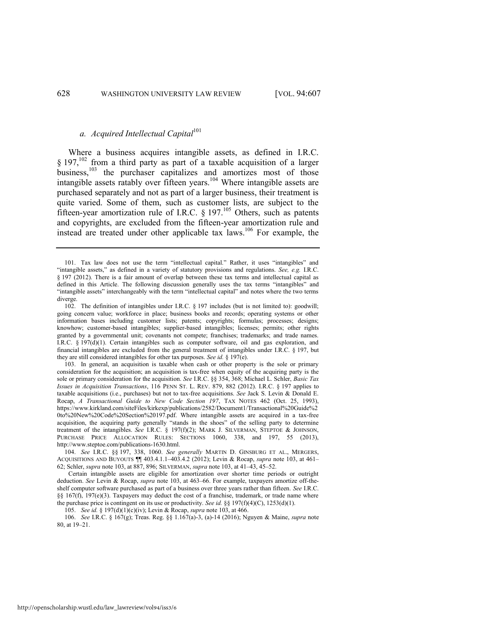# <span id="page-22-0"></span>*a. Acquired Intellectual Capital*<sup>101</sup>

<span id="page-22-2"></span><span id="page-22-1"></span>Where a business acquires intangible assets, as defined in I.R.C.  $§$  197,<sup>102</sup> from a third party as part of a taxable acquisition of a larger business,<sup>103</sup> the purchaser capitalizes and amortizes most of those intangible assets ratably over fifteen years.<sup>104</sup> Where intangible assets are purchased separately and not as part of a larger business, their treatment is quite varied. Some of them, such as customer lists, are subject to the fifteen-year amortization rule of I.R.C. § 197.<sup>105</sup> Others, such as patents and copyrights, are excluded from the fifteen-year amortization rule and instead are treated under other applicable tax laws.<sup>106</sup> For example, the

103. In general, an acquisition is taxable when cash or other property is the sole or primary consideration for the acquisition; an acquisition is tax-free when equity of the acquiring party is the sole or primary consideration for the acquisition. *See* I.R.C. §§ 354, 368; Michael L. Schler, *Basic Tax Issues in Acquisition Transactions*, 116 PENN ST. L. REV. 879, 882 (2012). I.R.C. § 197 applies to taxable acquisitions (i.e., purchases) but not to tax-free acquisitions. *See* Jack S. Levin & Donald E. Rocap, *A Transactional Guide to New Code Section 197*, TAX NOTES 462 (Oct. 25, 1993), https://www.kirkland.com/siteFiles/kirkexp/publications/2582/Document1/Transactional%20Guide%2 0to%20New%20Code%20Section%20197.pdf. Where intangible assets are acquired in a tax-free acquisition, the acquiring party generally "stands in the shoes" of the selling party to determine treatment of the intangibles. *See* I.R.C. § 197(f)(2); MARK J. SILVERMAN, STEPTOE & JOHNSON, PURCHASE PRICE ALLOCATION RULES: SECTIONS 1060, 338, and 197, 55 (2013), http://www.steptoe.com/publications-1630.html.

104. *See* I.R.C. §§ 197, 338, 1060. *See generally* MARTIN D. GINSBURG ET AL., MERGERS, ACQUISITIONS AND BUYOUTS ¶¶ 403.4.1.1–403.4.2 (2012); Levin & Rocap, *supra* note [103,](#page-22-2) at 461– 62; Schler, *supra* not[e 103,](#page-22-2) at 887, 896; SILVERMAN, *supra* not[e 103,](#page-22-2) at 41–43, 45–52.

 Certain intangible assets are eligible for amortization over shorter time periods or outright deduction. *See* Levin & Rocap, *supra* not[e 103,](#page-22-2) at 463–66. For example, taxpayers amortize off-theshelf computer software purchased as part of a business over three years rather than fifteen. *See* I.R.C. §§ 167(f), 197(e)(3). Taxpayers may deduct the cost of a franchise, trademark, or trade name where the purchase price is contingent on its use or productivity. *See id.* §§ 197(f)(4)(C), 1253(d)(1).

105. *See id.* § 197(d)(1)(c)(iv); Levin & Rocap, *supra* not[e 103,](#page-22-2) at 466.

106. *See* I.R.C. § 167(g); Treas. Reg. §§ 1.167(a)-3, (a)-14 (2016); Nguyen & Maine, *supra* note [80,](#page-18-0) at 19–21.

<sup>101.</sup> Tax law does not use the term "intellectual capital." Rather, it uses "intangibles" and "intangible assets," as defined in a variety of statutory provisions and regulations. *See, e.g.* I.R.C. § 197 (2012). There is a fair amount of overlap between these tax terms and intellectual capital as defined in this Article. The following discussion generally uses the tax terms "intangibles" and "intangible assets" interchangeably with the term "intellectual capital" and notes where the two terms diverge.

<sup>102.</sup> The definition of intangibles under I.R.C. § 197 includes (but is not limited to): goodwill; going concern value; workforce in place; business books and records; operating systems or other information bases including customer lists; patents; copyrights; formulas; processes; designs; knowhow; customer-based intangibles; supplier-based intangibles; licenses; permits; other rights granted by a governmental unit; covenants not compete; franchises; trademarks; and trade names. I.R.C. § 197(d)(1). Certain intangibles such as computer software, oil and gas exploration, and financial intangibles are excluded from the general treatment of intangibles under I.R.C. § 197, but they are still considered intangibles for other tax purposes. *See id.* § 197(e).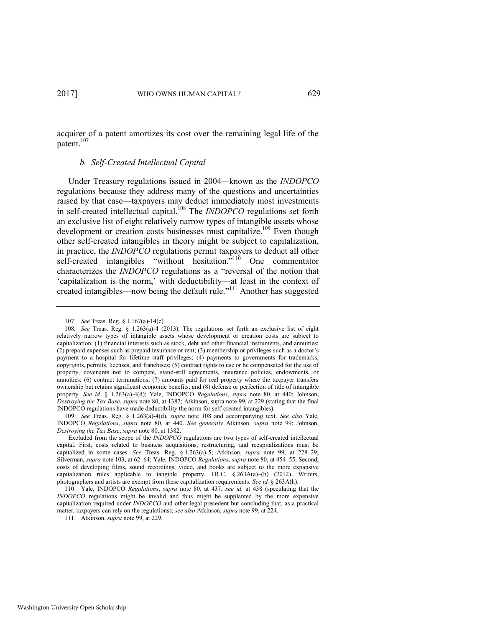acquirer of a patent amortizes its cost over the remaining legal life of the patent.<sup>107</sup>

### <span id="page-23-1"></span><span id="page-23-0"></span>*b. Self-Created Intellectual Capital*

Under Treasury regulations issued in 2004*—*known as the *INDOPCO* regulations because they address many of the questions and uncertainties raised by that case—taxpayers may deduct immediately most investments in self-created intellectual capital.<sup>108</sup> The *INDOPCO* regulations set forth an exclusive list of eight relatively narrow types of intangible assets whose development or creation costs businesses must capitalize.<sup>109</sup> Even though other self-created intangibles in theory might be subject to capitalization, in practice, the *INDOPCO* regulations permit taxpayers to deduct all other self-created intangibles "without hesitation.<sup>5110</sup> One commentator characterizes the *INDOPCO* regulations as a "reversal of the notion that 'capitalization is the norm,' with deductibility—at least in the context of created intangibles—now being the default rule."<sup>111</sup> Another has suggested

<sup>107.</sup> *See* Treas. Reg. § 1.167(a)-14(c).

<sup>108</sup>*. See* Treas. Reg. § 1.263(a)-4 (2013). The regulations set forth an exclusive list of eight relatively narrow types of intangible assets whose development or creation costs are subject to capitalization: (1) financial interests such as stock, debt and other financial instruments, and annuities; (2) prepaid expenses such as prepaid insurance or rent; (3) membership or privileges such as a doctor's payment to a hospital for lifetime staff privileges; (4) payments to governments for trademarks, copyrights, permits, licenses, and franchises; (5) contract rights to use or be compensated for the use of property, covenants not to compete, stand-still agreements, insurance policies, endowments, or annuities; (6) contract terminations; (7) amounts paid for real property where the taxpayer transfers ownership but retains significant economic benefits; and (8) defense or perfection of title of intangible property. *See id.* § 1.263(a)-4(d); Yale, INDOPCO *Regulations*, *supra* note [80,](#page-18-0) at 440; Johnson, *Destroying the Tax Base*, *supra* note [80,](#page-18-0) at 1382; Atkinson, supra not[e 99,](#page-21-2) at 229 (stating that the final INDOPCO regulations have made deductibility the norm for self-created intangibles).

<sup>109.</sup> *See* Treas. Reg. § 1.263(a)-4(d), *supra* note [108](#page-23-1) and accompanying text. *See also* Yale, INDOPCO *Regulations*, *supra* note [80,](#page-18-0) at 440. *See generally* Atkinson, *supra* note [99;](#page-21-2) Johnson, *Destroying the Tax Base*, *supra* note [80,](#page-18-0) at 1382.

Excluded from the scope of the *INDOPCO* regulations are two types of self-created intellectual capital. First, costs related to business acquisitions, restructuring, and recapitalizations must be capitalized in some cases. *See* Treas. Reg. § 1.263(a)-5; Atkinson, *supra* note [99,](#page-21-2) at 228–29; Silverman, *supra* not[e 103,](#page-22-2) at 62–64; Yale, INDOPCO *Regulations*, *supra* note [80,](#page-18-0) at 454–55. Second, costs of developing films, sound recordings, video, and books are subject to the more expansive capitalization rules applicable to tangible property. I.R.C.  $\S 263A(a)$ –(b) (2012). Writers, photographers and artists are exempt from these capitalization requirements. *See id.* § 263A(h).

<sup>110.</sup> Yale, INDOPCO *Regulations*, *supra* note [80,](#page-18-0) at 437; *see id.* at 438 (speculating that the *INDOPCO* regulations might be invalid and thus might be supplanted by the more expensive capitalization required under *INDOPCO* and other legal precedent but concluding that, as a practical matter, taxpayers can rely on the regulations); *see also* Atkinson, *supra* not[e 99,](#page-21-2) at 224.

<sup>111.</sup> Atkinson, *supra* not[e 99,](#page-21-2) at 229.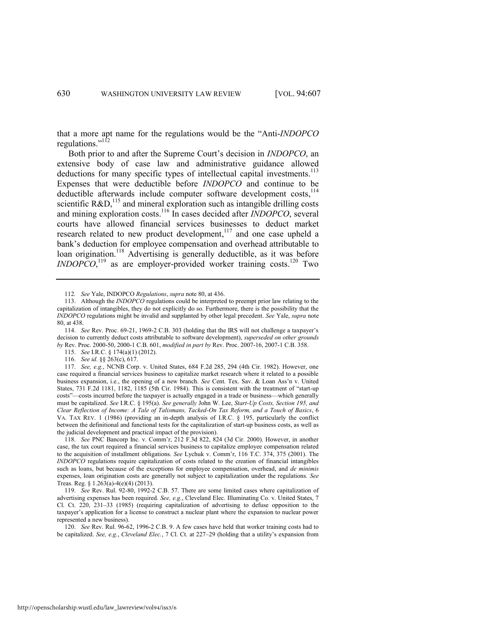that a more apt name for the regulations would be the "Anti-*INDOPCO* regulations."<sup>112</sup>

Both prior to and after the Supreme Court's decision in *INDOPCO*, an extensive body of case law and administrative guidance allowed deductions for many specific types of intellectual capital investments.<sup>113</sup> Expenses that were deductible before *INDOPCO* and continue to be deductible afterwards include computer software development  $costs$ ,  $^{114}$ scientific  $R&D$ ,<sup>115</sup> and mineral exploration such as intangible drilling costs and mining exploration costs.<sup>116</sup> In cases decided after *INDOPCO*, several courts have allowed financial services businesses to deduct market research related to new product development,<sup>117</sup> and one case upheld a bank's deduction for employee compensation and overhead attributable to loan origination.<sup>118</sup> Advertising is generally deductible, as it was before *INDOPCO*,<sup>119</sup> as are employer-provided worker training costs.<sup>120</sup> Two

114. *See* Rev. Proc. 69-21, 1969-2 C.B. 303 (holding that the IRS will not challenge a taxpayer's decision to currently deduct costs attributable to software development), *superseded on other grounds by* Rev. Proc. 2000-50, 2000-1 C.B. 601, *modified in part by* Rev. Proc. 2007-16, 2007-1 C.B. 358.

115. *See* I.R.C. § 174(a)(1) (2012).

116. *See id.* §§ 263(c), 617.

117. *See, e.g.*, NCNB Corp. v. United States, 684 F.2d 285, 294 (4th Cir. 1982). However, one case required a financial services business to capitalize market research where it related to a possible business expansion, i.e., the opening of a new branch. *See* Cent. Tex. Sav. & Loan Ass'n v. United States, 731 F.2d 1181, 1182, 1185 (5th Cir. 1984). This is consistent with the treatment of "start-up costs"—costs incurred before the taxpayer is actually engaged in a trade or business—which generally must be capitalized. *See* I.R.C. § 195(a). *See generally* John W. Lee, *Start-Up Costs, Section 195, and Clear Reflection of Income: A Tale of Talismans, Tacked-On Tax Reform, and a Touch of Basics*, 6 VA. TAX REV. 1 (1986) (providing an in-depth analysis of I.R.C. § 195, particularly the conflict between the definitional and functional tests for the capitalization of start-up business costs, as well as the judicial development and practical impact of the provision).

118. *See* PNC Bancorp Inc. v. Comm'r, 212 F.3d 822, 824 (3d Cir. 2000). However, in another case, the tax court required a financial services business to capitalize employee compensation related to the acquisition of installment obligations. *See* Lychuk v. Comm'r, 116 T.C. 374, 375 (2001). The *INDOPCO* regulations require capitalization of costs related to the creation of financial intangibles such as loans, but because of the exceptions for employee compensation, overhead, and *de minimis* expenses, loan origination costs are generally not subject to capitalization under the regulations. *See*  Treas. Reg. § 1.263(a)-4(e)(4) (2013).

119. *See* Rev. Rul. 92-80, 1992-2 C.B. 57. There are some limited cases where capitalization of advertising expenses has been required. *See, e.g.*, Cleveland Elec. Illuminating Co. v. United States, 7 Cl. Ct. 220, 231–33 (1985) (requiring capitalization of advertising to defuse opposition to the taxpayer's application for a license to construct a nuclear plant where the expansion to nuclear power represented a new business).

120. *See* Rev. Rul. 96-62, 1996-2 C.B. 9. A few cases have held that worker training costs had to be capitalized. *See, e.g.*, *Cleveland Elec.*, 7 Cl. Ct. at 227–29 (holding that a utility's expansion from

<span id="page-24-0"></span><sup>112</sup>*. See* Yale, INDOPCO *Regulations*, *supra* not[e 80,](#page-18-0) at 436.

<sup>113.</sup> Although the *INDOPCO* regulations could be interpreted to preempt prior law relating to the capitalization of intangibles, they do not explicitly do so. Furthermore, there is the possibility that the *INDOPCO* regulations might be invalid and supplanted by other legal precedent. *See* Yale, *supra* note [80,](#page-18-0) at 438.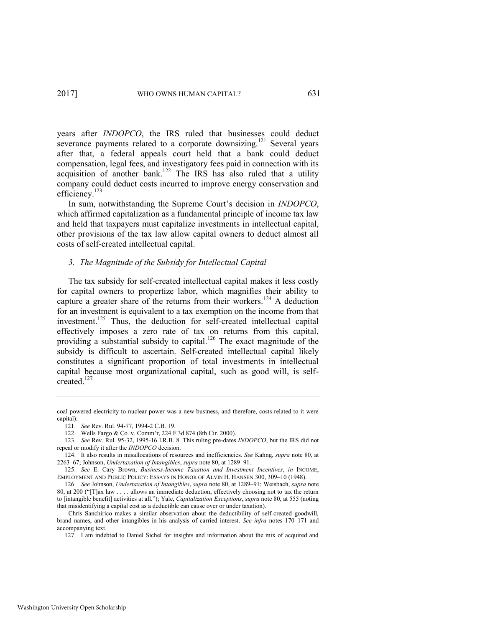years after *INDOPCO*, the IRS ruled that businesses could deduct severance payments related to a corporate downsizing.<sup>121</sup> Several years after that, a federal appeals court held that a bank could deduct compensation, legal fees, and investigatory fees paid in connection with its acquisition of another bank.<sup>122</sup> The IRS has also ruled that a utility company could deduct costs incurred to improve energy conservation and efficiency.<sup>123</sup>

<span id="page-25-0"></span>In sum, notwithstanding the Supreme Court's decision in *INDOPCO*, which affirmed capitalization as a fundamental principle of income tax law and held that taxpayers must capitalize investments in intellectual capital, other provisions of the tax law allow capital owners to deduct almost all costs of self-created intellectual capital.

### *3. The Magnitude of the Subsidy for Intellectual Capital*

The tax subsidy for self-created intellectual capital makes it less costly for capital owners to propertize labor, which magnifies their ability to capture a greater share of the returns from their workers.<sup>124</sup> A deduction for an investment is equivalent to a tax exemption on the income from that investment.<sup>125</sup> Thus, the deduction for self-created intellectual capital effectively imposes a zero rate of tax on returns from this capital, providing a substantial subsidy to capital.<sup>126</sup> The exact magnitude of the subsidy is difficult to ascertain. Self-created intellectual capital likely constitutes a significant proportion of total investments in intellectual capital because most organizational capital, such as good will, is selfcreated  $^{127}$ 

coal powered electricity to nuclear power was a new business, and therefore, costs related to it were capital).

<sup>121.</sup> *See* Rev. Rul. 94-77, 1994-2 C.B. 19.

<sup>122.</sup> Wells Fargo & Co. v. Comm'r, 224 F.3d 874 (8th Cir. 2000).

<sup>123.</sup> *See* Rev. Rul. 95-32, 1995-16 I.R.B. 8. This ruling pre-dates *INDOPCO*, but the IRS did not repeal or modify it after the *INDOPCO* decision.

<sup>124.</sup> It also results in misallocations of resources and inefficiencies. *See* Kahng, *supra* not[e 80,](#page-18-0) at 2263–67; Johnson, *Undertaxation of Intangibles*, *supra* not[e 80,](#page-18-0) at 1289–91.

<sup>125.</sup> *See* E. Cary Brown, *Business-Income Taxation and Investment Incentives*, *in* INCOME, EMPLOYMENT AND PUBLIC POLICY: ESSAYS IN HONOR OF ALVIN H. HANSEN 300, 309–10 (1948).

<sup>126.</sup> *See* Johnson, *Undertaxation of Intangibles*, *supra* note [80,](#page-18-0) at 1289–91; Weisbach, *supra* note [80](#page-18-0), at 200 ("[T]ax law . . . . allows an immediate deduction, effectively choosing not to tax the return to [intangible benefit] activities at all."); Yale, *Capitalization Exceptions*, *supra* not[e 80,](#page-18-0) at 555 (noting that misidentifying a capital cost as a deductible can cause over or under taxation).

Chris Sanchirico makes a similar observation about the deductibility of self-created goodwill, brand names, and other intangibles in his analysis of carried interest. *See infra* notes [170](#page-36-0)–[171](#page-36-1) and accompanying text.

<sup>127.</sup> I am indebted to Daniel Sichel for insights and information about the mix of acquired and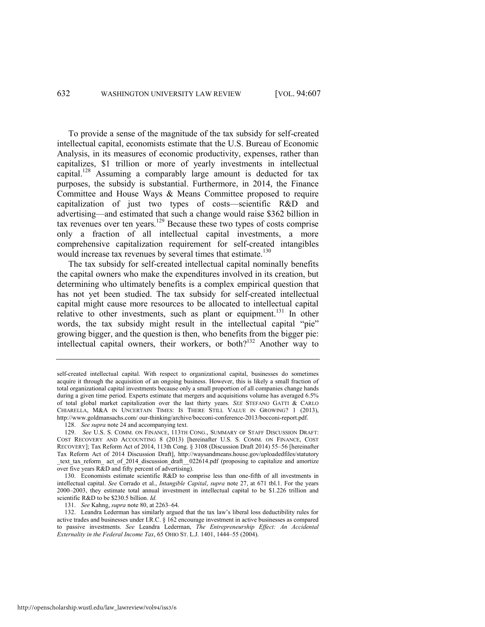To provide a sense of the magnitude of the tax subsidy for self-created intellectual capital, economists estimate that the U.S. Bureau of Economic Analysis, in its measures of economic productivity, expenses, rather than capitalizes, \$1 trillion or more of yearly investments in intellectual capital.<sup>128</sup> Assuming a comparably large amount is deducted for tax purposes, the subsidy is substantial. Furthermore, in 2014, the Finance Committee and House Ways & Means Committee proposed to require capitalization of just two types of costs—scientific R&D and advertising—and estimated that such a change would raise \$362 billion in  $\frac{129}{2}$  Because these two types of costs comprise only a fraction of all intellectual capital investments, a more comprehensive capitalization requirement for self-created intangibles would increase tax revenues by several times that estimate.<sup>130</sup>

<span id="page-26-1"></span>The tax subsidy for self-created intellectual capital nominally benefits the capital owners who make the expenditures involved in its creation, but determining who ultimately benefits is a complex empirical question that has not yet been studied. The tax subsidy for self-created intellectual capital might cause more resources to be allocated to intellectual capital relative to other investments, such as plant or equipment.<sup>131</sup> In other words, the tax subsidy might result in the intellectual capital "pie" growing bigger, and the question is then, who benefits from the bigger pie: intellectual capital owners, their workers, or both?<sup>132</sup> Another way to

128. *See supra* not[e 24 a](#page-7-0)nd accompanying text.

131. *See* Kahng, *supra* not[e 80,](#page-18-0) at 2263–64.

<span id="page-26-0"></span>self-created intellectual capital. With respect to organizational capital, businesses do sometimes acquire it through the acquisition of an ongoing business. However, this is likely a small fraction of total organizational capital investments because only a small proportion of all companies change hands during a given time period. Experts estimate that mergers and acquisitions volume has averaged 6.5% of total global market capitalization over the last thirty years. *SEE* STEFANO GATTI & CARLO CHIARELLA, M&A IN UNCERTAIN TIMES: IS THERE STILL VALUE IN GROWING? 1 (2013), [http://www.goldmansachs.com/ o](http://www.goldmansachs.com/)ur-thinking/archive/bocconi-conference-2013/bocconi-report.pdf.

<sup>129.</sup> *See* U.S. S. COMM. ON FINANCE, 113TH CONG., SUMMARY OF STAFF DISCUSSION DRAFT: COST RECOVERY AND ACCOUNTING 8 (2013) [hereinafter U.S. S. COMM. ON FINANCE, COST RECOVERY]; Tax Reform Act of 2014, 113th Cong. § 3108 (Discussion Draft 2014) 55–56 [hereinafter Tax Reform Act of 2014 Discussion Draft], [http://waysandmeans.house.gov/uploadedfiles/statutory](http://waysandmeans.house.gov/‌uploadedfiles/‌statutory‌_text_tax) [\\_text\\_tax\\_](http://waysandmeans.house.gov/‌uploadedfiles/‌statutory‌_text_tax)reform\_ act\_of\_2014\_discussion\_draft\_\_022614.pdf (proposing to capitalize and amortize over five years R&D and fifty percent of advertising).

<sup>130.</sup> Economists estimate scientific R&D to comprise less than one-fifth of all investments in intellectual capital. *See* Corrado et al., *Intangible Capital*, *supra* note [27,](#page-8-0) at 671 tbl.1. For the years 2000–2003, they estimate total annual investment in intellectual capital to be \$1.226 trillion and scientific R&D to be \$230.5 billion. *Id.*

<sup>132.</sup> Leandra Lederman has similarly argued that the tax law's liberal loss deductibility rules for active trades and businesses under I.R.C. § 162 encourage investment in active businesses as compared to passive investments. *See* Leandra Lederman, *The Entrepreneurship Effect: An Accidental Externality in the Federal Income Tax*, 65 OHIO ST. L.J. 1401, 1444–55 (2004).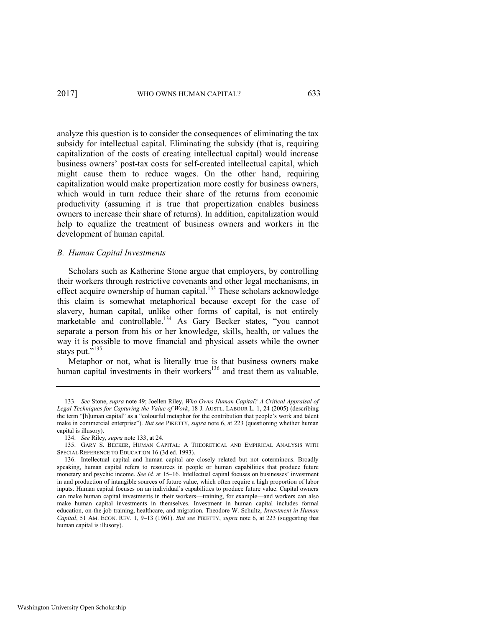analyze this question is to consider the consequences of eliminating the tax subsidy for intellectual capital. Eliminating the subsidy (that is, requiring capitalization of the costs of creating intellectual capital) would increase business owners' post-tax costs for self-created intellectual capital, which might cause them to reduce wages. On the other hand, requiring capitalization would make propertization more costly for business owners, which would in turn reduce their share of the returns from economic productivity (assuming it is true that propertization enables business owners to increase their share of returns). In addition, capitalization would help to equalize the treatment of business owners and workers in the development of human capital.

#### *B. Human Capital Investments*

<span id="page-27-1"></span>Scholars such as Katherine Stone argue that employers, by controlling their workers through restrictive covenants and other legal mechanisms, in effect acquire ownership of human capital.<sup>133</sup> These scholars acknowledge this claim is somewhat metaphorical because except for the case of slavery, human capital, unlike other forms of capital, is not entirely marketable and controllable.<sup>134</sup> As Gary Becker states, "you cannot separate a person from his or her knowledge, skills, health, or values the way it is possible to move financial and physical assets while the owner stays put."<sup>135</sup>

<span id="page-27-2"></span><span id="page-27-0"></span>Metaphor or not, what is literally true is that business owners make human capital investments in their workers $136$  and treat them as valuable,

<sup>133.</sup> *See* Stone, *supra* note [49;](#page-11-0) Joellen Riley, *Who Owns Human Capital? A Critical Appraisal of Legal Techniques for Capturing the Value of Work*, 18 J. AUSTL. LABOUR L. 1, 24 (2005) (describing the term "[h]uman capital" as a "colourful metaphor for the contribution that people's work and talent make in commercial enterprise"). *But see* PIKETTY, *supra* not[e 6,](#page-3-0) at 223 (questioning whether human capital is illusory).

<sup>134.</sup> *See* Riley, *supra* not[e 133,](#page-27-1) at 24.

<sup>135.</sup> GARY S. BECKER, HUMAN CAPITAL: A THEORETICAL AND EMPIRICAL ANALYSIS WITH SPECIAL REFERENCE TO EDUCATION 16 (3d ed. 1993).

<sup>136.</sup> Intellectual capital and human capital are closely related but not coterminous. Broadly speaking, human capital refers to resources in people or human capabilities that produce future monetary and psychic income. *See id.* at 15–16. Intellectual capital focuses on businesses' investment in and production of intangible sources of future value, which often require a high proportion of labor inputs. Human capital focuses on an individual's capabilities to produce future value. Capital owners can make human capital investments in their workers—training, for example—and workers can also make human capital investments in themselves. Investment in human capital includes formal education, on-the-job training, healthcare, and migration. Theodore W. Schultz, *Investment in Human Capital*, 51 AM. ECON. REV. 1, 9–13 (1961). *But see* PIKETTY, *supra* note [6,](#page-3-0) at 223 (suggesting that human capital is illusory).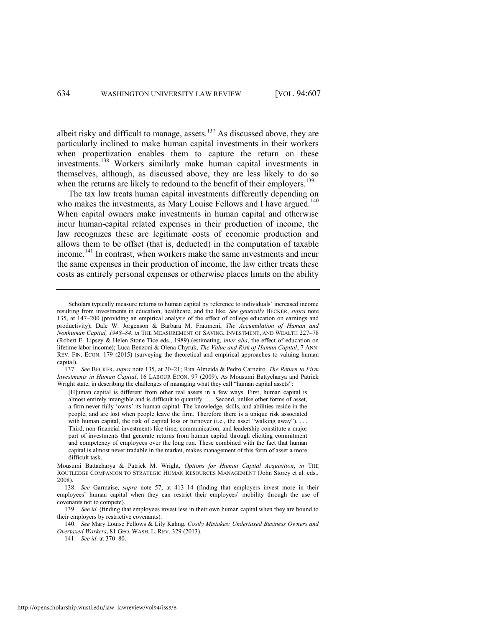albeit risky and difficult to manage, assets. $137$  As discussed above, they are particularly inclined to make human capital investments in their workers when propertization enables them to capture the return on these investments.<sup>138</sup> Workers similarly make human capital investments in themselves, although, as discussed above, they are less likely to do so when the returns are likely to redound to the benefit of their employers.<sup>139</sup>

<span id="page-28-1"></span><span id="page-28-0"></span>The tax law treats human capital investments differently depending on who makes the investments, as Mary Louise Fellows and I have argued.<sup>140</sup> When capital owners make investments in human capital and otherwise incur human-capital related expenses in their production of income, the law recognizes these are legitimate costs of economic production and allows them to be offset (that is, deducted) in the computation of taxable income.<sup>141</sup> In contrast, when workers make the same investments and incur the same expenses in their production of income, the law either treats these costs as entirely personal expenses or otherwise places limits on the ability

Scholars typically measure returns to human capital by reference to individuals' increased income resulting from investments in education, healthcare, and the like. *See generally* BECKER, *supra* note [135,](#page-27-2) at 147–200 (providing an empirical analysis of the effect of college education on earnings and productivity); Dale W. Jorgenson & Barbara M. Fraumeni, *The Accumulation of Human and Nonhuman Capital, 1948*–*84*, *in* THE MEASUREMENT OF SAVING, INVESTMENT, AND WEALTH 227–78 (Robert E. Lipsey & Helen Stone Tice eds., 1989) (estimating, *inter alia*, the effect of education on lifetime labor income); Luca Benzoni & Olena Chyruk, *The Value and Risk of Human Capital*, 7 ANN. REV. FIN. ECON. 179 (2015) (surveying the theoretical and empirical approaches to valuing human capital).

<sup>137.</sup> *See* BECKER, *supra* not[e 135,](#page-27-2) at 20–21; Rita Almeida & Pedro Carneiro. *The Return to Firm Investments in Human Capital*, 16 LABOUR ECON. 97 (2009). As Mousumi Battycharya and Patrick Wright state, in describing the challenges of managing what they call "human capital assets":

<sup>[</sup>H]uman capital is different from other real assets in a few ways. First, human capital is almost entirely intangible and is difficult to quantify. . . . Second, unlike other forms of asset, a firm never fully 'owns' its human capital. The knowledge, skills, and abilities reside in the people, and are lost when people leave the firm. Therefore there is a unique risk associated with human capital, the risk of capital loss or turnover (i.e., the asset "walking away"). . . . Third, non-financial investments like time, communication, and leadership constitute a major part of investments that generate returns from human capital through eliciting commitment and competency of employees over the long run. These combined with the fact that human capital is almost never tradable in the market, makes management of this form of asset a more difficult task.

Mousumi Battacharya & Patrick M. Wright, *Options for Human Capital Acquisition*, *in* THE ROUTLEDGE COMPANION TO STRATEGIC HUMAN RESOURCES MANAGEMENT (John Storey et al. eds., 2008).

<sup>138.</sup> *See* Garmaise, *supra* note [57,](#page-12-0) at 413–14 (finding that employers invest more in their employees' human capital when they can restrict their employees' mobility through the use of covenants not to compete).

<sup>139.</sup> *See id.* (finding that employees invest less in their own human capital when they are bound to their employers by restrictive covenants).

<sup>140.</sup> *See* Mary Louise Fellows & Lily Kahng, *Costly Mistakes: Undertaxed Business Owners and Overtaxed Workers*, 81 GEO. WASH. L. REV. 329 (2013).

<sup>141.</sup> *See id*. at 370–80.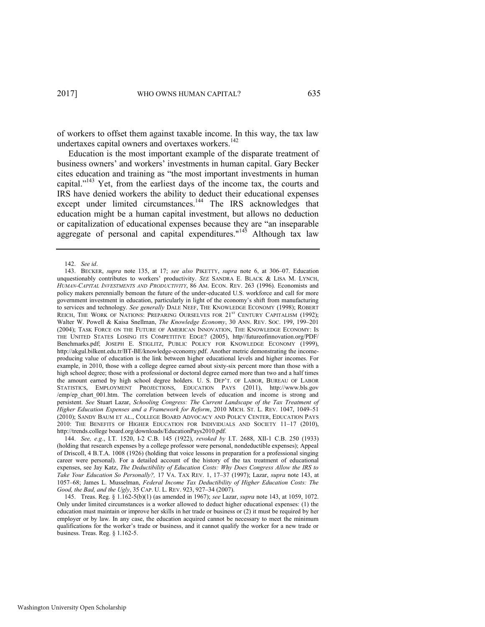of workers to offset them against taxable income. In this way, the tax law undertaxes capital owners and overtaxes workers.<sup>142</sup>

<span id="page-29-0"></span>Education is the most important example of the disparate treatment of business owners' and workers' investments in human capital. Gary Becker cites education and training as "the most important investments in human capital."<sup>143</sup> Yet, from the earliest days of the income tax, the courts and IRS have denied workers the ability to deduct their educational expenses except under limited circumstances.<sup>144</sup> The IRS acknowledges that education might be a human capital investment, but allows no deduction or capitalization of educational expenses because they are "an inseparable aggregate of personal and capital expenditures."<sup>145</sup> Although tax law

144. *See, e.g*., I.T. 1520, I-2 C.B. 145 (1922), *revoked by* I.T. 2688, XII-1 C.B. 250 (1933) (holding that research expenses by a college professor were personal, nondeductible expenses); Appeal of Driscoll, 4 B.T.A. 1008 (1926) (holding that voice lessons in preparation for a professional singing career were personal). For a detailed account of the history of the tax treatment of educational expenses, see Jay Katz, *The Deductibility of Education Costs: Why Does Congress Allow the IRS to Take Your Education So Personally?,* 17 VA. TAX REV. 1, 17–37 (1997); Lazar, *supra* note [143,](#page-29-0) at 1057–68; James L. Musselman, *Federal Income Tax Deductibility of Higher Education Costs: The Good, the Bad, and the Ugly*, 35 CAP. U. L. REV. 923, 927–34 (2007).

<span id="page-29-1"></span><sup>142.</sup> *See id*.

<sup>143.</sup> BECKER, *supra* note [135,](#page-27-2) at 17; *see also* PIKETTY, *supra* note [6,](#page-3-0) at 306–07. Education unquestionably contributes to workers' productivity. *SEE* SANDRA E. BLACK & LISA M. LYNCH, *HUMAN-CAPITAL INVESTMENTS AND PRODUCTIVITY*, 86 AM. ECON. REV. 263 (1996). Economists and policy makers perennially bemoan the future of the under-educated U.S. workforce and call for more government investment in education, particularly in light of the economy's shift from manufacturing to services and technology. *See generally* DALE NEEF, THE KNOWLEDGE ECONOMY (1998); ROBERT REICH, THE WORK OF NATIONS: PREPARING OURSELVES FOR 21<sup>st</sup> CENTURY CAPITALISM (1992); Walter W. Powell & Kaisa Snellman, *The Knowledge Economy*, 30 ANN. REV. SOC. 199, 199–201 (2004); TASK FORCE ON THE FUTURE OF AMERICAN INNOVATION, THE KNOWLEDGE ECONOMY: IS THE UNITED STATES LOSING ITS COMPETITIVE EDGE? (2005), http//futureofinnovation.org/PDF/ Benchmarks.pdf; JOSEPH E. STIGLITZ, PUBLIC POLICY FOR KNOWLEDGE ECONOMY (1999), http://akgul.bilkent.edu.tr/BT-BE/knowledge-economy.pdf. Another metric demonstrating the incomeproducing value of education is the link between higher educational levels and higher incomes. For example, in 2010, those with a college degree earned about sixty-six percent more than those with a high school degree; those with a professional or doctoral degree earned more than two and a half times the amount earned by high school degree holders. U. S. DEP'T. OF LABOR, BUREAU OF LABOR STATISTICS, EMPLOYMENT PROJECTIONS, EDUCATION PAYS (2011), http://www.bls.gov /emp/ep chart 001.htm. The correlation between levels of education and income is strong and persistent. *See* Stuart Lazar, *Schooling Congress: The Current Landscape of the Tax Treatment of Higher Education Expenses and a Framework for Reform*, 2010 MICH. ST. L. REV. 1047, 1049–51 (2010); SANDY BAUM ET AL., COLLEGE BOARD ADVOCACY AND POLICY CENTER, EDUCATION PAYS 2010: THE BENEFITS OF HIGHER EDUCATION FOR INDIVIDUALS AND SOCIETY 11–17 (2010), http://trends.college board.org/downloads/EducationPays2010.pdf.

<sup>145.</sup> Treas. Reg. § 1.162-5(b)(1) (as amended in 1967); *see* Lazar, *supra* note [143,](#page-29-0) at 1059, 1072. Only under limited circumstances is a worker allowed to deduct higher educational expenses: (1) the education must maintain or improve her skills in her trade or business or (2) it must be required by her employer or by law. In any case, the education acquired cannot be necessary to meet the minimum qualifications for the worker's trade or business, and it cannot qualify the worker for a new trade or business. Treas. Reg. § 1.162-5.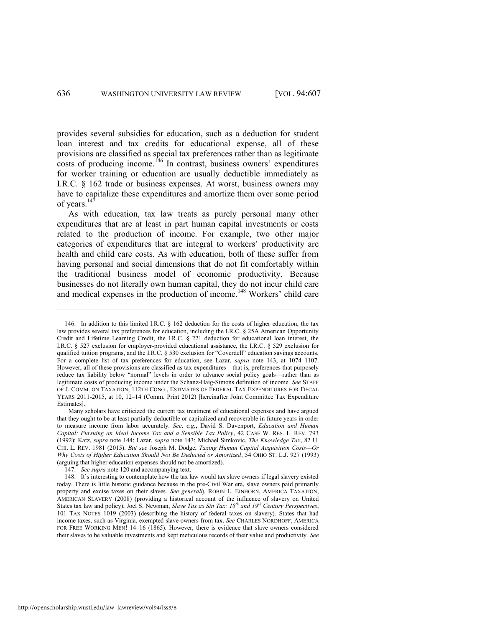<span id="page-30-0"></span>provides several subsidies for education, such as a deduction for student loan interest and tax credits for educational expense, all of these provisions are classified as special tax preferences rather than as legitimate costs of producing income.<sup>146</sup> In contrast, business owners' expenditures for worker training or education are usually deductible immediately as I.R.C. § 162 trade or business expenses. At worst, business owners may have to capitalize these expenditures and amortize them over some period of years. $147$ 

As with education, tax law treats as purely personal many other expenditures that are at least in part human capital investments or costs related to the production of income. For example, two other major categories of expenditures that are integral to workers' productivity are health and child care costs. As with education, both of these suffer from having personal and social dimensions that do not fit comfortably within the traditional business model of economic productivity. Because businesses do not literally own human capital, they do not incur child care and medical expenses in the production of income.<sup>148</sup> Workers' child care

147. *See supra* not[e 120 a](#page-24-0)nd accompanying text.

http://openscholarship.wustl.edu/law\_lawreview/vol94/iss3/6

<sup>146.</sup> In addition to this limited I.R.C. § 162 deduction for the costs of higher education, the tax law provides several tax preferences for education, including the I.R.C. § 25A American Opportunity Credit and Lifetime Learning Credit, the I.R.C. § 221 deduction for educational loan interest, the I.R.C. § 527 exclusion for employer-provided educational assistance, the I.R.C. § 529 exclusion for qualified tuition programs, and the I.R.C. § 530 exclusion for "Coverdell" education savings accounts. For a complete list of tax preferences for education, see Lazar, *supra* note [143,](#page-29-0) at 1074–1107. However, all of these provisions are classified as tax expenditures—that is, preferences that purposely reduce tax liability below "normal" levels in order to advance social policy goals—rather than as legitimate costs of producing income under the Schanz-Haig-Simons definition of income. *See* STAFF OF J. COMM. ON TAXATION, 112TH CONG., ESTIMATES OF FEDERAL TAX EXPENDITURES FOR FISCAL YEARS 2011-2015, at 10, 12–14 (Comm. Print 2012) [hereinafter Joint Committee Tax Expenditure Estimates].

Many scholars have criticized the current tax treatment of educational expenses and have argued that they ought to be at least partially deductible or capitalized and recoverable in future years in order to measure income from labor accurately. *See, e.g.*, David S. Davenport, *Education and Human Capital: Pursuing an Ideal Income Tax and a Sensible Tax Policy*, 42 CASE W. RES. L. REV. 793 (1992); Katz, *supra* note [144;](#page-29-1) Lazar, *supra* not[e 143;](#page-29-0) Michael Simkovic, *The Knowledge Tax*, 82 U. CHI. L. REV. 1981 (2015). *But see* Joseph M. Dodge, *Taxing Human Capital Acquisition Costs—Or Why Costs of Higher Education Should Not Be Deducted or Amortized*, 54 OHIO ST. L.J. 927 (1993) (arguing that higher education expenses should not be amortized).

<sup>148.</sup> It's interesting to contemplate how the tax law would tax slave owners if legal slavery existed today. There is little historic guidance because in the pre-Civil War era, slave owners paid primarily property and excise taxes on their slaves. *See generally* ROBIN L. EINHORN, AMERICA TAXATION, AMERICAN SLAVERY (2008) (providing a historical account of the influence of slavery on United States tax law and policy); Joel S. Newman, *Slave Tax as Sin Tax: 18th and 19th Century Perspectives*, 101 TAX NOTES 1019 (2003) (describing the history of federal taxes on slavery). States that had income taxes, such as Virginia, exempted slave owners from tax. *See* CHARLES NORDHOFF, AMERICA FOR FREE WORKING MEN! 14–16 (1865). However, there is evidence that slave owners considered their slaves to be valuable investments and kept meticulous records of their value and productivity. *See*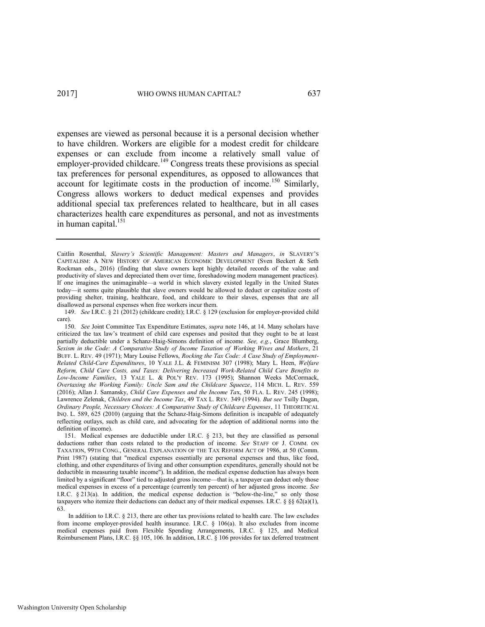expenses are viewed as personal because it is a personal decision whether to have children. Workers are eligible for a modest credit for childcare expenses or can exclude from income a relatively small value of employer-provided childcare.<sup>149</sup> Congress treats these provisions as special tax preferences for personal expenditures, as opposed to allowances that account for legitimate costs in the production of income.<sup>150</sup> Similarly, Congress allows workers to deduct medical expenses and provides additional special tax preferences related to healthcare, but in all cases characterizes health care expenditures as personal, and not as investments in human capital. $151$ 

Caitlin Rosenthal, *Slavery's Scientific Management: Masters and Managers*, *in* SLAVERY'S CAPITALISM: A NEW HISTORY OF AMERICAN ECONOMIC DEVELOPMENT (Sven Beckert & Seth Rockman eds., 2016) (finding that slave owners kept highly detailed records of the value and productivity of slaves and depreciated them over time, foreshadowing modern management practices). If one imagines the unimaginable—a world in which slavery existed legally in the United States today—it seems quite plausible that slave owners would be allowed to deduct or capitalize costs of providing shelter, training, healthcare, food, and childcare to their slaves, expenses that are all disallowed as personal expenses when free workers incur them.

<sup>149.</sup> *See* I.R.C. § 21 (2012) (childcare credit); I.R.C. § 129 (exclusion for employer-provided child care).

<sup>150.</sup> *See* Joint Committee Tax Expenditure Estimates, *supra* not[e 146,](#page-30-0) at 14. Many scholars have criticized the tax law's treatment of child care expenses and posited that they ought to be at least partially deductible under a Schanz-Haig-Simons definition of income. *See, e.g.*, Grace Blumberg, *Sexism in the Code: A Comparative Study of Income Taxation of Working Wives and Mothers*, 21 BUFF. L. REV. 49 (1971); Mary Louise Fellows, *Rocking the Tax Code: A Case Study of Employment-Related Child-Care Expenditures*, 10 YALE J.L. & FEMINISM 307 (1998); Mary L. Heen, *Welfare Reform, Child Care Costs, and Taxes: Delivering Increased Work-Related Child Care Benefits to Low-Income Families*, 13 YALE L. & POL'Y REV. 173 (1995); Shannon Weeks McCormack, *Overtaxing the Working Family: Uncle Sam and the Childcare Squeeze*, 114 MICH. L. REV. 559 (2016); Allan J. Samansky, *Child Care Expenses and the Income Ta*x, 50 FLA. L. REV. 245 (1998); Lawrence Zelenak, *Children and the Income Tax*, 49 TAX L. REV. 349 (1994). *But see* Tsilly Dagan, *Ordinary People, Necessary Choices: A Comparative Study of Childcare Expenses*, 11 THEORETICAL INQ. L. 589, 625 (2010) (arguing that the Schanz-Haig-Simons definition is incapable of adequately reflecting outlays, such as child care, and advocating for the adoption of additional norms into the definition of income).

<sup>151.</sup> Medical expenses are deductible under I.R.C. § 213, but they are classified as personal deductions rather than costs related to the production of income. *See* STAFF OF J. COMM. ON TAXATION, 99TH CONG., GENERAL EXPLANATION OF THE TAX REFORM ACT OF 1986, at 50 (Comm. Print 1987) (stating that "medical expenses essentially are personal expenses and thus, like food, clothing, and other expenditures of living and other consumption expenditures, generally should not be deductible in measuring taxable income"). In addition, the medical expense deduction has always been limited by a significant "floor" tied to adjusted gross income—that is, a taxpayer can deduct only those medical expenses in excess of a percentage (currently ten percent) of her adjusted gross income. *See*  I.R.C. § 213(a). In addition, the medical expense deduction is "below-the-line," so only those taxpayers who itemize their deductions can deduct any of their medical expenses. I.R.C. § §§  $62(a)(1)$ , 63.

In addition to I.R.C. § 213, there are other tax provisions related to health care. The law excludes from income employer-provided health insurance. I.R.C. § 106(a). It also excludes from income medical expenses paid from Flexible Spending Arrangements, I.R.C. § 125, and Medical Reimbursement Plans, I.R.C. §§ 105, 106. In addition, I.R.C. § 106 provides for tax deferred treatment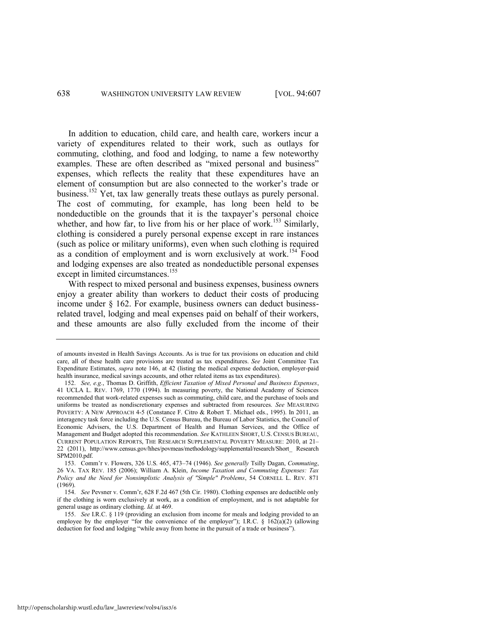In addition to education, child care, and health care, workers incur a variety of expenditures related to their work, such as outlays for commuting, clothing, and food and lodging, to name a few noteworthy examples. These are often described as "mixed personal and business" expenses, which reflects the reality that these expenditures have an element of consumption but are also connected to the worker's trade or business.<sup>152</sup> Yet, tax law generally treats these outlays as purely personal. The cost of commuting, for example, has long been held to be nondeductible on the grounds that it is the taxpayer's personal choice whether, and how far, to live from his or her place of work.<sup>153</sup> Similarly, clothing is considered a purely personal expense except in rare instances (such as police or military uniforms), even when such clothing is required as a condition of employment and is worn exclusively at work.<sup>154</sup> Food and lodging expenses are also treated as nondeductible personal expenses except in limited circumstances.<sup>155</sup>

With respect to mixed personal and business expenses, business owners enjoy a greater ability than workers to deduct their costs of producing income under § 162. For example, business owners can deduct businessrelated travel, lodging and meal expenses paid on behalf of their workers, and these amounts are also fully excluded from the income of their

of amounts invested in Health Savings Accounts. As is true for tax provisions on education and child care, all of these health care provisions are treated as tax expenditures. *See* Joint Committee Tax Expenditure Estimates, *supra* note [146,](#page-30-0) at 42 (listing the medical expense deduction, employer-paid health insurance, medical savings accounts, and other related items as tax expenditures).

<sup>152.</sup> *See, e.g.*, Thomas D. Griffith, *Efficient Taxation of Mixed Personal and Business Expenses*, 41 UCLA L. REV. 1769, 1770 (1994). In measuring poverty, the National Academy of Sciences recommended that work-related expenses such as commuting, child care, and the purchase of tools and uniforms be treated as nondiscretionary expenses and subtracted from resources. *See* MEASURING POVERTY: A NEW APPROACH 4-5 (Constance F. Citro & Robert T. Michael eds., 1995). In 2011, an interagency task force including the U.S. Census Bureau, the Bureau of Labor Statistics, the Council of Economic Advisers, the U.S. Department of Health and Human Services, and the Office of Management and Budget adopted this recommendation. *See* KATHLEEN SHORT, U.S. CENSUS BUREAU, CURRENT POPULATION REPORTS, THE RESEARCH SUPPLEMENTAL POVERTY MEASURE: 2010, at 21– 22 (2011), http://www.census.gov/hhes/povmeas/methodology/supplemental/research/Short\_ Research SPM2010.pdf.

<sup>153.</sup> Comm'r v. Flowers, 326 U.S. 465, 473–74 (1946). *See generally* Tsilly Dagan, *Commuting*, 26 VA. TAX REV. 185 (2006); William A. Klein, *Income Taxation and Commuting Expenses: Tax Policy and the Need for Nonsimplistic Analysis of "Simple" Problems*, 54 CORNELL L. REV. 871 (1969).

<sup>154.</sup> *See* Pevsner v. Comm'r, 628 F.2d 467 (5th Cir. 1980). Clothing expenses are deductible only if the clothing is worn exclusively at work, as a condition of employment, and is not adaptable for general usage as ordinary clothing. *Id.* at 469.

<sup>155.</sup> *See* I.R.C. § 119 (providing an exclusion from income for meals and lodging provided to an employee by the employer "for the convenience of the employer"); I.R.C.  $\S$  162(a)(2) (allowing deduction for food and lodging "while away from home in the pursuit of a trade or business").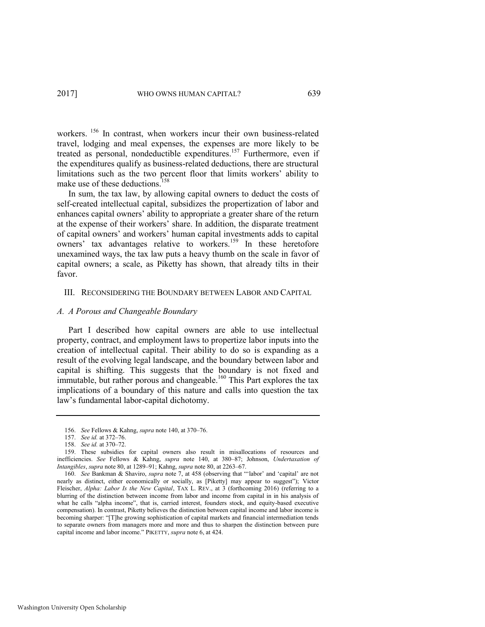workers. <sup>156</sup> In contrast, when workers incur their own business-related travel, lodging and meal expenses, the expenses are more likely to be treated as personal, nondeductible expenditures.<sup>157</sup> Furthermore, even if the expenditures qualify as business-related deductions, there are structural limitations such as the two percent floor that limits workers' ability to make use of these deductions.<sup>158</sup>

In sum, the tax law, by allowing capital owners to deduct the costs of self-created intellectual capital, subsidizes the propertization of labor and enhances capital owners' ability to appropriate a greater share of the return at the expense of their workers' share. In addition, the disparate treatment of capital owners' and workers' human capital investments adds to capital owners' tax advantages relative to workers.<sup>159</sup> In these heretofore unexamined ways, the tax law puts a heavy thumb on the scale in favor of capital owners; a scale, as Piketty has shown, that already tilts in their favor.

## III. RECONSIDERING THE BOUNDARY BETWEEN LABOR AND CAPITAL

### *A. A Porous and Changeable Boundary*

Part I described how capital owners are able to use intellectual property, contract, and employment laws to propertize labor inputs into the creation of intellectual capital. Their ability to do so is expanding as a result of the evolving legal landscape, and the boundary between labor and capital is shifting. This suggests that the boundary is not fixed and immutable, but rather porous and changeable.<sup>160</sup> This Part explores the tax implications of a boundary of this nature and calls into question the tax law's fundamental labor-capital dichotomy.

<span id="page-33-0"></span><sup>156.</sup> *See* Fellows & Kahng, *supra* not[e 140,](#page-28-1) at 370–76.

<sup>157.</sup> *See id.* at 372–76.

<sup>158.</sup> *See id.* at 370–72.

<sup>159.</sup> These subsidies for capital owners also result in misallocations of resources and inefficiencies. *See* Fellows & Kahng, *supra* note [140,](#page-28-1) at 380–87; Johnson, *Undertaxation of Intangibles*, *supra* not[e 80,](#page-18-0) at 1289–91; Kahng, *supra* not[e 80,](#page-18-0) at 2263–67.

<sup>160.</sup> *See* Bankman & Shaviro, *supra* note [7](#page-3-1), at 458 (observing that "'labor' and 'capital' are not nearly as distinct, either economically or socially, as [Piketty] may appear to suggest"); Victor Fleischer, *Alpha: Labor Is the New Capital*, TAX L. REV., at 3 (forthcoming 2016) (referring to a blurring of the distinction between income from labor and income from capital in in his analysis of what he calls "alpha income", that is, carried interest, founders stock, and equity-based executive compensation). In contrast, Piketty believes the distinction between capital income and labor income is becoming sharper: "[T]he growing sophistication of capital markets and financial intermediation tends to separate owners from managers more and more and thus to sharpen the distinction between pure capital income and labor income." PIKETTY, *supra* not[e 6,](#page-3-0) at 424.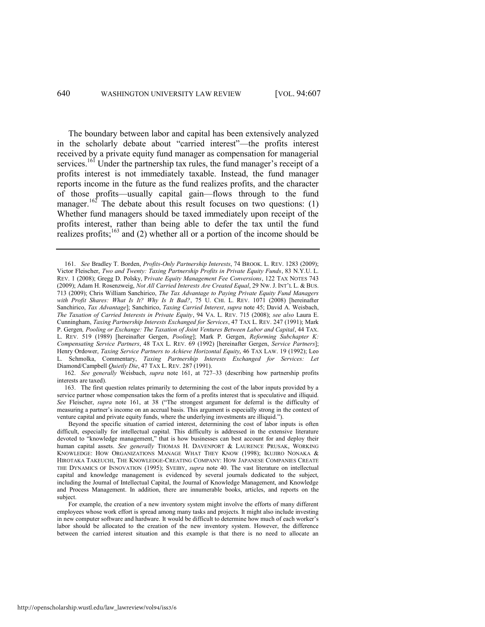<span id="page-34-0"></span>The boundary between labor and capital has been extensively analyzed in the scholarly debate about "carried interest"—the profits interest received by a private equity fund manager as compensation for managerial services.<sup>161</sup> Under the partnership tax rules, the fund manager's receipt of a profits interest is not immediately taxable. Instead, the fund manager reports income in the future as the fund realizes profits, and the character of those profits—usually capital gain—flows through to the fund manager.<sup>162</sup> The debate about this result focuses on two questions: (1) Whether fund managers should be taxed immediately upon receipt of the profits interest, rather than being able to defer the tax until the fund realizes profits;<sup>163</sup> and (2) whether all or a portion of the income should be

162. *See generally* Weisbach, *supra* note [161,](#page-34-0) at 727–33 (describing how partnership profits interests are taxed).

163. The first question relates primarily to determining the cost of the labor inputs provided by a service partner whose compensation takes the form of a profits interest that is speculative and illiquid. *See* Fleischer, *supra* note [161](#page-34-0), at 38 ("The strongest argument for deferral is the difficulty of measuring a partner's income on an accrual basis. This argument is especially strong in the context of venture capital and private equity funds, where the underlying investments are illiquid.").

<sup>161.</sup> *See* Bradley T. Borden, *Profits-Only Partnership Interests*, 74 BROOK. L. REV. 1283 (2009); Victor Fleischer, *Two and Twenty: Taxing Partnership Profits in Private Equity Funds*, 83 N.Y.U. L. REV. 1 (2008); Gregg D. Polsky, P*rivate Equity Management Fee Conversions*, 122 TAX NOTES 743 (2009); Adam H. Rosenzweig, *Not All Carried Interests Are Created Equal*, 29 NW. J. INT'L L. & BUS. 713 (2009); Chris William Sanchirico, *The Tax Advantage to Paying Private Equity Fund Managers with Profit Shares: What Is It? Why Is It Bad?*, 75 U. CHI. L. REV. 1071 (2008) [hereinafter Sanchirico, *Tax Advantage*]; Sanchirico, *Taxing Carried Interest*, *supra* note [45;](#page-10-2) David A. Weisbach, *The Taxation of Carried Interests in Private Equity*, 94 VA. L. REV. 715 (2008); *see also* Laura E. Cunningham, *Taxing Partnership Interests Exchanged for Services*, 47 TAX L. REV. 247 (1991); Mark P. Gergen*, Pooling or Exchange: The Taxation of Joint Ventures Between Labor and Capital*, 44 TAX. L. REV. 519 (1989) [hereinafter Gergen, *Pooling*]; Mark P. Gergen, *Reforming Subchapter K: Compensating Service Partners*, 48 TAX L. REV. 69 (1992) [hereinafter Gergen, *Service Partners*]; Henry Ordower, *Taxing Service Partners to Achieve Horizontal Equity*, 46 TAX LAW. 19 (1992); Leo L. Schmolka, Commentary, *Taxing Partnership Interests Exchanged for Services: Let*  Diamond/Campbell *Quietly Die*, 47 TAX L. REV. 287 (1991).

Beyond the specific situation of carried interest, determining the cost of labor inputs is often difficult, especially for intellectual capital. This difficulty is addressed in the extensive literature devoted to "knowledge management," that is how businesses can best account for and deploy their human capital assets. *See generally* THOMAS H. DAVENPORT & LAURENCE PRUSAK, WORKING KNOWLEDGE: HOW ORGANIZATIONS MANAGE WHAT THEY KNOW (1998); IKUJIRO NONAKA & HIROTAKA TAKEUCHI, THE KNOWLEDGE-CREATING COMPANY: HOW JAPANESE COMPANIES CREATE THE DYNAMICS OF INNOVATION (1995); SVEIBY, *supra* note [40.](#page-9-0) The vast literature on intellectual capital and knowledge management is evidenced by several journals dedicated to the subject, including the Journal of Intellectual Capital, the Journal of Knowledge Management, and Knowledge and Process Management. In addition, there are innumerable books, articles, and reports on the subject.

For example, the creation of a new inventory system might involve the efforts of many different employees whose work effort is spread among many tasks and projects. It might also include investing in new computer software and hardware. It would be difficult to determine how much of each worker's labor should be allocated to the creation of the new inventory system. However, the difference between the carried interest situation and this example is that there is no need to allocate an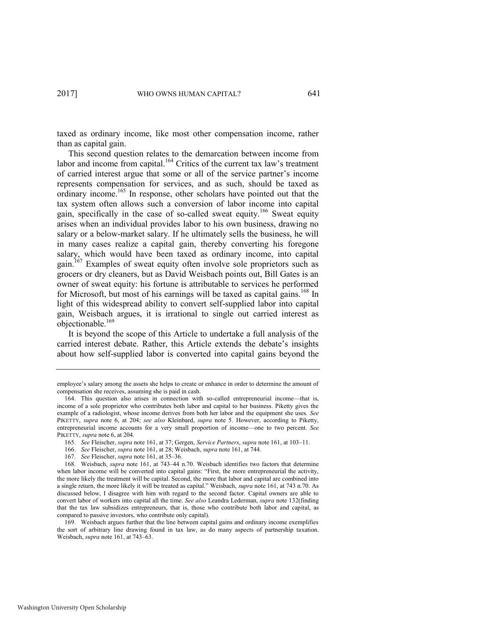taxed as ordinary income, like most other compensation income, rather than as capital gain.

This second question relates to the demarcation between income from labor and income from capital.<sup>164</sup> Critics of the current tax law's treatment of carried interest argue that some or all of the service partner's income represents compensation for services, and as such, should be taxed as ordinary income.<sup>165</sup> In response, other scholars have pointed out that the tax system often allows such a conversion of labor income into capital gain, specifically in the case of so-called sweat equity.<sup>166</sup> Sweat equity arises when an individual provides labor to his own business, drawing no salary or a below-market salary. If he ultimately sells the business, he will in many cases realize a capital gain, thereby converting his foregone salary, which would have been taxed as ordinary income, into capital gain.<sup>167</sup> Examples of sweat equity often involve sole proprietors such as grocers or dry cleaners, but as David Weisbach points out, Bill Gates is an owner of sweat equity: his fortune is attributable to services he performed for Microsoft, but most of his earnings will be taxed as capital gains.<sup>168</sup> In light of this widespread ability to convert self-supplied labor into capital gain, Weisbach argues, it is irrational to single out carried interest as objectionable.<sup>169</sup>

It is beyond the scope of this Article to undertake a full analysis of the carried interest debate. Rather, this Article extends the debate's insights about how self-supplied labor is converted into capital gains beyond the

employee's salary among the assets she helps to create or enhance in order to determine the amount of compensation she receives, assuming she is paid in cash.

<sup>164.</sup> This question also arises in connection with so-called entrepreneurial income—that is, income of a sole proprietor who contributes both labor and capital to her business. Piketty gives the example of a radiologist, whose income derives from both her labor and the equipment she uses. *See* PIKETTY, *supra* note [6,](#page-3-0) at 204; *see also* Kleinbard, *supra* note [5.](#page-3-2) However, according to Piketty, entrepreneurial income accounts for a very small proportion of income—one to two percent. *See*  PIKETTY, *supra* not[e 6,](#page-3-0) at 204.

<sup>165.</sup> *See* Fleischer, *supra* not[e 161,](#page-34-0) at 37; Gergen, *Service Partners*, *supra* note [161,](#page-34-0) at 103–11.

<sup>166.</sup> *See* Fleischer, *supra* not[e 161,](#page-34-0) at 28; Weisbach, *supra* not[e 161,](#page-34-0) at 744.

<sup>167.</sup> *See* Fleischer, *supra* not[e 161,](#page-34-0) at 35–36.

<sup>168.</sup> Weisbach, *supra* note [161,](#page-34-0) at 743–44 n.70. Weisbach identifies two factors that determine when labor income will be converted into capital gains: "First, the more entrepreneurial the activity, the more likely the treatment will be capital. Second, the more that labor and capital are combined into a single return, the more likely it will be treated as capital." Weisbach, *supra* not[e 161,](#page-34-0) at 743 n.70. As discussed below, I disagree with him with regard to the second factor. Capital owners are able to convert labor of workers into capital all the time. *See also* Leandra Lederman, *supra* not[e 132\(](#page-26-0)finding that the tax law subsidizes entrepreneurs, that is, those who contribute both labor and capital, as compared to passive investors, who contribute only capital).

<sup>169.</sup> Weisbach argues further that the line between capital gains and ordinary income exemplifies the sort of arbitrary line drawing found in tax law, as do many aspects of partnership taxation. Weisbach, *supra* not[e 161,](#page-34-0) at 743–63.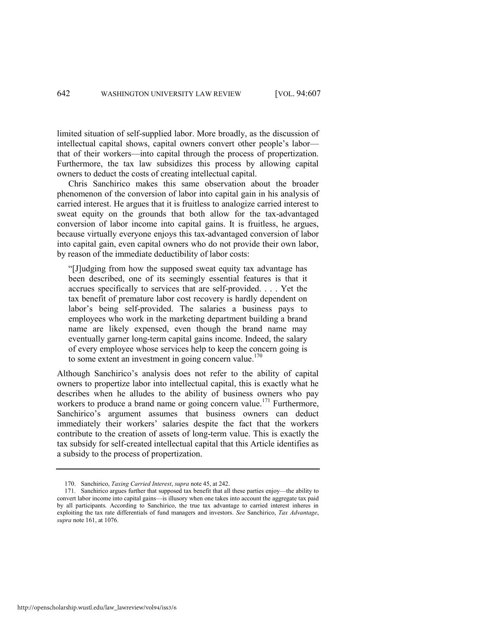limited situation of self-supplied labor. More broadly, as the discussion of intellectual capital shows, capital owners convert other people's labor that of their workers—into capital through the process of propertization. Furthermore, the tax law subsidizes this process by allowing capital owners to deduct the costs of creating intellectual capital.

Chris Sanchirico makes this same observation about the broader phenomenon of the conversion of labor into capital gain in his analysis of carried interest. He argues that it is fruitless to analogize carried interest to sweat equity on the grounds that both allow for the tax-advantaged conversion of labor income into capital gains. It is fruitless, he argues, because virtually everyone enjoys this tax-advantaged conversion of labor into capital gain, even capital owners who do not provide their own labor, by reason of the immediate deductibility of labor costs:

"[J]udging from how the supposed sweat equity tax advantage has been described, one of its seemingly essential features is that it accrues specifically to services that are self-provided. . . . Yet the tax benefit of premature labor cost recovery is hardly dependent on labor's being self-provided. The salaries a business pays to employees who work in the marketing department building a brand name are likely expensed, even though the brand name may eventually garner long-term capital gains income. Indeed, the salary of every employee whose services help to keep the concern going is to some extent an investment in going concern value.<sup>170</sup>

<span id="page-36-1"></span><span id="page-36-0"></span>Although Sanchirico's analysis does not refer to the ability of capital owners to propertize labor into intellectual capital, this is exactly what he describes when he alludes to the ability of business owners who pay workers to produce a brand name or going concern value.<sup>171</sup> Furthermore, Sanchirico's argument assumes that business owners can deduct immediately their workers' salaries despite the fact that the workers contribute to the creation of assets of long-term value. This is exactly the tax subsidy for self-created intellectual capital that this Article identifies as a subsidy to the process of propertization.

<sup>170.</sup> Sanchirico, *Taxing Carried Interest*, *supra* not[e 45,](#page-10-2) at 242.

<sup>171.</sup> Sanchirico argues further that supposed tax benefit that all these parties enjoy—the ability to convert labor income into capital gains—is illusory when one takes into account the aggregate tax paid by all participants. According to Sanchirico, the true tax advantage to carried interest inheres in exploiting the tax rate differentials of fund managers and investors. *See* Sanchirico, *Tax Advantage*, *supra* not[e 161,](#page-34-0) at 1076.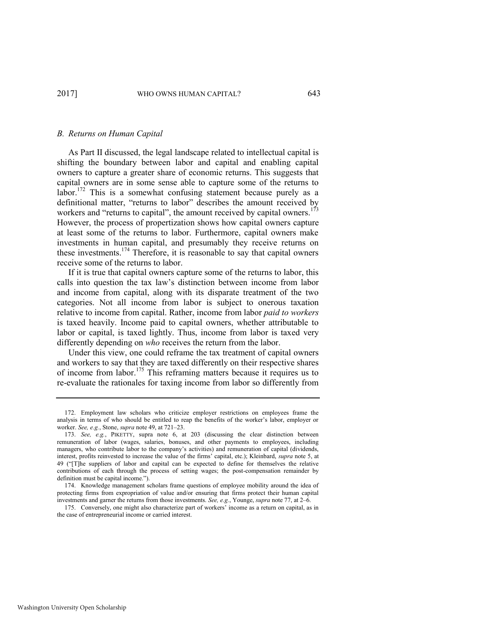#### *B. Returns on Human Capital*

As Part II discussed, the legal landscape related to intellectual capital is shifting the boundary between labor and capital and enabling capital owners to capture a greater share of economic returns. This suggests that capital owners are in some sense able to capture some of the returns to labor.<sup>172</sup> This is a somewhat confusing statement because purely as a definitional matter, "returns to labor" describes the amount received by workers and "returns to capital", the amount received by capital owners.<sup>173</sup> However, the process of propertization shows how capital owners capture at least some of the returns to labor. Furthermore, capital owners make investments in human capital, and presumably they receive returns on these investments.<sup>174</sup> Therefore, it is reasonable to say that capital owners receive some of the returns to labor.

If it is true that capital owners capture some of the returns to labor, this calls into question the tax law's distinction between income from labor and income from capital, along with its disparate treatment of the two categories. Not all income from labor is subject to onerous taxation relative to income from capital. Rather, income from labor *paid to workers* is taxed heavily. Income paid to capital owners, whether attributable to labor or capital, is taxed lightly. Thus, income from labor is taxed very differently depending on *who* receives the return from the labor.

Under this view, one could reframe the tax treatment of capital owners and workers to say that they are taxed differently on their respective shares of income from labor.<sup>175</sup> This reframing matters because it requires us to re-evaluate the rationales for taxing income from labor so differently from

<sup>172.</sup> Employment law scholars who criticize employer restrictions on employees frame the analysis in terms of who should be entitled to reap the benefits of the worker's labor, employer or worker. *See, e.g.*, Stone, *supra* not[e 49,](#page-11-0) at 721–23.

<sup>173.</sup> *See, e.g.*, PIKETTY, supra note [6,](#page-3-0) at 203 (discussing the clear distinction between remuneration of labor (wages, salaries, bonuses, and other payments to employees, including managers, who contribute labor to the company's activities) and remuneration of capital (dividends, interest, profits reinvested to increase the value of the firms' capital, etc.); Kleinbard, *supra* note [5,](#page-3-2) at 49 ("[T]he suppliers of labor and capital can be expected to define for themselves the relative contributions of each through the process of setting wages; the post-compensation remainder by definition must be capital income.").

<sup>174.</sup> Knowledge management scholars frame questions of employee mobility around the idea of protecting firms from expropriation of value and/or ensuring that firms protect their human capital investments and garner the returns from those investments. *See, e.g.*, Younge, *supra* not[e 77,](#page-16-1) at 2–6.

<sup>175.</sup> Conversely, one might also characterize part of workers' income as a return on capital, as in the case of entrepreneurial income or carried interest.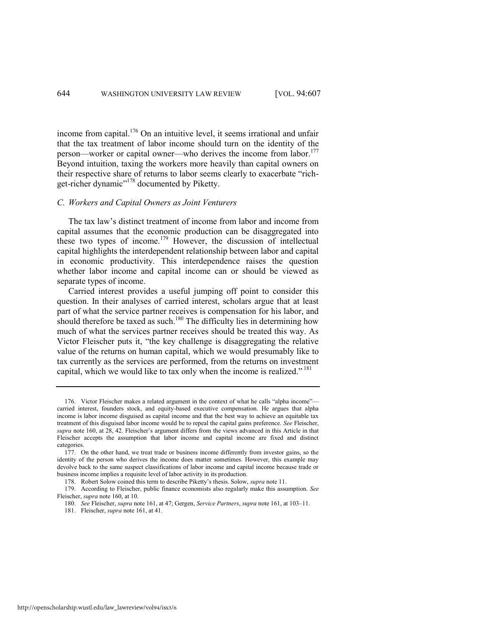income from capital.<sup>176</sup> On an intuitive level, it seems irrational and unfair that the tax treatment of labor income should turn on the identity of the person—worker or capital owner—who derives the income from labor.<sup>177</sup> Beyond intuition, taxing the workers more heavily than capital owners on their respective share of returns to labor seems clearly to exacerbate "richget-richer dynamic"<sup>178</sup> documented by Piketty.

# *C. Workers and Capital Owners as Joint Venturers*

The tax law's distinct treatment of income from labor and income from capital assumes that the economic production can be disaggregated into these two types of income.<sup>179</sup> However, the discussion of intellectual capital highlights the interdependent relationship between labor and capital in economic productivity. This interdependence raises the question whether labor income and capital income can or should be viewed as separate types of income.

Carried interest provides a useful jumping off point to consider this question. In their analyses of carried interest, scholars argue that at least part of what the service partner receives is compensation for his labor, and should therefore be taxed as such.<sup>180</sup> The difficulty lies in determining how much of what the services partner receives should be treated this way. As Victor Fleischer puts it, "the key challenge is disaggregating the relative value of the returns on human capital, which we would presumably like to tax currently as the services are performed, from the returns on investment capital, which we would like to tax only when the income is realized."  $181$ 

<sup>176.</sup> Victor Fleischer makes a related argument in the context of what he calls "alpha income" carried interest, founders stock, and equity-based executive compensation. He argues that alpha income is labor income disguised as capital income and that the best way to achieve an equitable tax treatment of this disguised labor income would be to repeal the capital gains preference. *See* Fleischer, *supra* not[e 160](#page-33-0), at 28, 42. Fleischer's argument differs from the views advanced in this Article in that Fleischer accepts the assumption that labor income and capital income are fixed and distinct categories.

<sup>177.</sup> On the other hand, we treat trade or business income differently from investor gains, so the identity of the person who derives the income does matter sometimes. However, this example may devolve back to the same suspect classifications of labor income and capital income because trade or business income implies a requisite level of labor activity in its production.

<sup>178.</sup> Robert Solow coined this term to describe Piketty's thesis. Solow, *supra* not[e 11.](#page-5-0)

<sup>179.</sup> According to Fleischer, public finance economists also regularly make this assumption. *See*  Fleischer, *supra* not[e 160,](#page-33-0) at 10.

<sup>180.</sup> *See* Fleischer, *supra* not[e 161,](#page-34-0) at 47; Gergen, *Service Partners*, *supra* note [161,](#page-34-0) at 103–11.

<sup>181.</sup> Fleischer, *supra* not[e 161,](#page-34-0) at 41.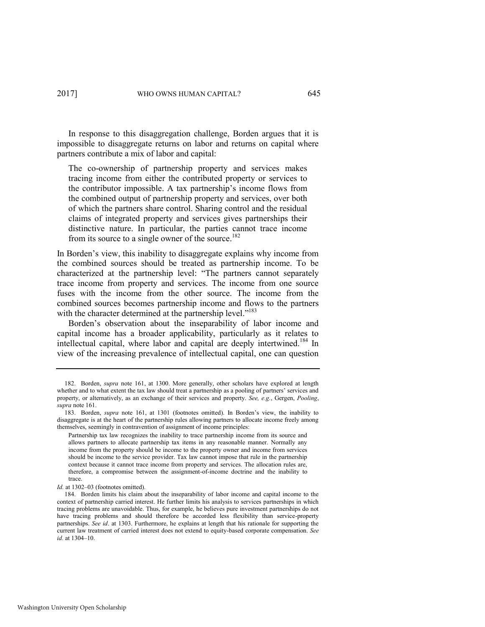In response to this disaggregation challenge, Borden argues that it is impossible to disaggregate returns on labor and returns on capital where partners contribute a mix of labor and capital:

The co-ownership of partnership property and services makes tracing income from either the contributed property or services to the contributor impossible. A tax partnership's income flows from the combined output of partnership property and services, over both of which the partners share control. Sharing control and the residual claims of integrated property and services gives partnerships their distinctive nature. In particular, the parties cannot trace income from its source to a single owner of the source.<sup>182</sup>

In Borden's view, this inability to disaggregate explains why income from the combined sources should be treated as partnership income. To be characterized at the partnership level: "The partners cannot separately trace income from property and services. The income from one source fuses with the income from the other source. The income from the combined sources becomes partnership income and flows to the partners with the character determined at the partnership level."<sup>183</sup>

Borden's observation about the inseparability of labor income and capital income has a broader applicability, particularly as it relates to intellectual capital, where labor and capital are deeply intertwined.<sup>184</sup> In view of the increasing prevalence of intellectual capital, one can question

<sup>182.</sup> Borden, *supra* note [161,](#page-34-0) at 1300. More generally, other scholars have explored at length whether and to what extent the tax law should treat a partnership as a pooling of partners' services and property, or alternatively, as an exchange of their services and property. *See, e.g.*, Gergen, *Pooling*, *supra* not[e 161.](#page-34-0)

<sup>183.</sup> Borden, *supra* note [161](#page-34-0), at 1301 (footnotes omitted). In Borden's view, the inability to disaggregate is at the heart of the partnership rules allowing partners to allocate income freely among themselves, seemingly in contravention of assignment of income principles:

Partnership tax law recognizes the inability to trace partnership income from its source and allows partners to allocate partnership tax items in any reasonable manner. Normally any income from the property should be income to the property owner and income from services should be income to the service provider. Tax law cannot impose that rule in the partnership context because it cannot trace income from property and services. The allocation rules are, therefore, a compromise between the assignment-of-income doctrine and the inability to trace.

Id. at 1302–03 (footnotes omitted).

<sup>184.</sup> Borden limits his claim about the inseparability of labor income and capital income to the context of partnership carried interest. He further limits his analysis to services partnerships in which tracing problems are unavoidable. Thus, for example, he believes pure investment partnerships do not have tracing problems and should therefore be accorded less flexibility than service-property partnerships. *See id*. at 1303. Furthermore, he explains at length that his rationale for supporting the current law treatment of carried interest does not extend to equity-based corporate compensation. *See id.* at 1304–10.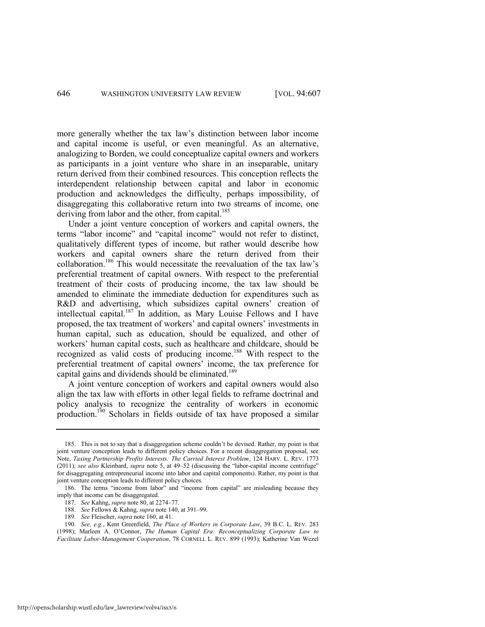more generally whether the tax law's distinction between labor income and capital income is useful, or even meaningful. As an alternative, analogizing to Borden, we could conceptualize capital owners and workers as participants in a joint venture who share in an inseparable, unitary return derived from their combined resources. This conception reflects the interdependent relationship between capital and labor in economic production and acknowledges the difficulty, perhaps impossibility, of disaggregating this collaborative return into two streams of income, one deriving from labor and the other, from capital.<sup>185</sup>

Under a joint venture conception of workers and capital owners, the terms "labor income" and "capital income" would not refer to distinct, qualitatively different types of income, but rather would describe how workers and capital owners share the return derived from their collaboration.<sup>186</sup> This would necessitate the reevaluation of the tax law's preferential treatment of capital owners. With respect to the preferential treatment of their costs of producing income, the tax law should be amended to eliminate the immediate deduction for expenditures such as R&D and advertising, which subsidizes capital owners' creation of intellectual capital.<sup>187</sup> In addition, as Mary Louise Fellows and I have proposed, the tax treatment of workers' and capital owners' investments in human capital, such as education, should be equalized, and other of workers' human capital costs, such as healthcare and childcare, should be recognized as valid costs of producing income.<sup>188</sup> With respect to the preferential treatment of capital owners' income, the tax preference for capital gains and dividends should be eliminated.<sup>189</sup>

A joint venture conception of workers and capital owners would also align the tax law with efforts in other legal fields to reframe doctrinal and policy analysis to recognize the centrality of workers in economic production.<sup>190</sup> Scholars in fields outside of tax have proposed a similar

<sup>185.</sup> This is not to say that a disaggregation scheme couldn't be devised. Rather, my point is that joint venture conception leads to different policy choices. For a recent disaggregation proposal, see Note, *Taxing Partnership Profits Interests: The Carried Interest Problem*, 124 HARV. L. REV. 1773 (2011); *see also* Kleinbard, *supra* note [5,](#page-3-2) at 49–52 (discussing the "labor-capital income centrifuge" for disaggregating entrepreneurial income into labor and capital components). Rather, my point is that joint venture conception leads to different policy choices.

<sup>186.</sup> The terms "income from labor" and "income from capital" are misleading because they imply that income can be disaggregated.

<sup>187.</sup> *See* Kahng, *supra* not[e 80,](#page-18-0) at 2274–77.

<sup>188.</sup> *See* Fellows & Kahng, *supra* not[e 140,](#page-28-1) at 391–99.

<sup>189.</sup> *See* Fleischer, *supra* not[e 160,](#page-33-0) at 41.

<sup>190.</sup> *See, e.g.*, Kent Greenfield, *The Place of Workers in Corporate Law*, 39 B.C. L. REV. 283 (1998); Marleen A. O'Connor, *The Human Capital Era: Reconceptualizing Corporate Law to Facilitate Labor-Management Cooperation*, 78 CORNELL L. REV. 899 (1993); Katherine Van Wezel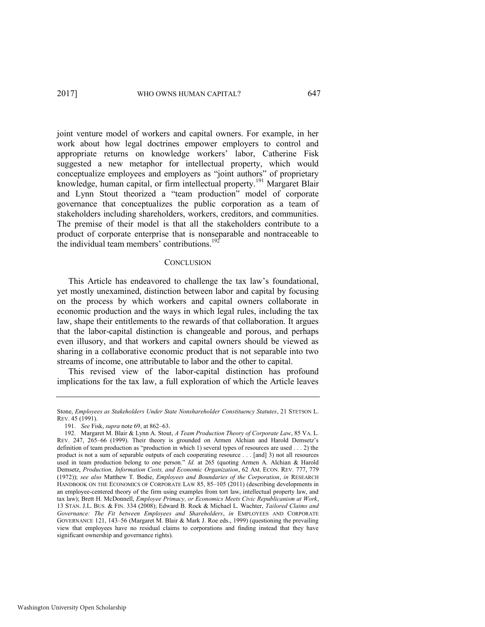joint venture model of workers and capital owners. For example, in her work about how legal doctrines empower employers to control and appropriate returns on knowledge workers' labor, Catherine Fisk suggested a new metaphor for intellectual property, which would conceptualize employees and employers as "joint authors" of proprietary knowledge, human capital, or firm intellectual property.<sup>191</sup> Margaret Blair and Lynn Stout theorized a "team production" model of corporate governance that conceptualizes the public corporation as a team of stakeholders including shareholders, workers, creditors, and communities. The premise of their model is that all the stakeholders contribute to a product of corporate enterprise that is nonseparable and nontraceable to the individual team members' contributions.<sup>19</sup>

### **CONCLUSION**

This Article has endeavored to challenge the tax law's foundational, yet mostly unexamined, distinction between labor and capital by focusing on the process by which workers and capital owners collaborate in economic production and the ways in which legal rules, including the tax law, shape their entitlements to the rewards of that collaboration. It argues that the labor-capital distinction is changeable and porous, and perhaps even illusory, and that workers and capital owners should be viewed as sharing in a collaborative economic product that is not separable into two streams of income, one attributable to labor and the other to capital.

This revised view of the labor-capital distinction has profound implications for the tax law, a full exploration of which the Article leaves

Stone, *Employees as Stakeholders Under State Nonshareholder Constituency Statutes*, 21 STETSON L. REV. 45 (1991).

<sup>191.</sup> *See* Fisk, *supra* not[e 69,](#page-15-0) at 862–63.

<sup>192.</sup> Margaret M. Blair & Lynn A. Stout, *A Team Production Theory of Corporate Law*, 85 VA. L. REV. 247, 265–66 (1999). Their theory is grounded on Armen Alchian and Harold Demsetz's definition of team production as "production in which 1) several types of resources are used . . . 2) the product is not a sum of separable outputs of each cooperating resource . . . [and] 3) not all resources used in team production belong to one person." *Id.* at 265 (quoting Armen A. Alchian & Harold Demsetz, *Production, Information Costs, and Economic Organization*, 62 AM. ECON. REV. 777, 779 (1972)); *see also* Matthew T. Bodie, *Employees and Boundaries of the Corporation*, *in* RESEARCH HANDBOOK ON THE ECONOMICS OF CORPORATE LAW 85, 85–105 (2011) (describing developments in an employee-centered theory of the firm using examples from tort law, intellectual property law, and tax law); Brett H. McDonnell, *Employee Primacy, or Economics Meets Civic Republicanism at Work*, 13 STAN. J.L. BUS. & FIN. 334 (2008); Edward B. Rock & Michael L. Wachter, *Tailored Claims and Governance: The Fit between Employees and Shareholders*, *in* EMPLOYEES AND CORPORATE GOVERNANCE 121, 143–56 (Margaret M. Blair & Mark J. Roe eds., 1999) (questioning the prevailing view that employees have no residual claims to corporations and finding instead that they have significant ownership and governance rights).